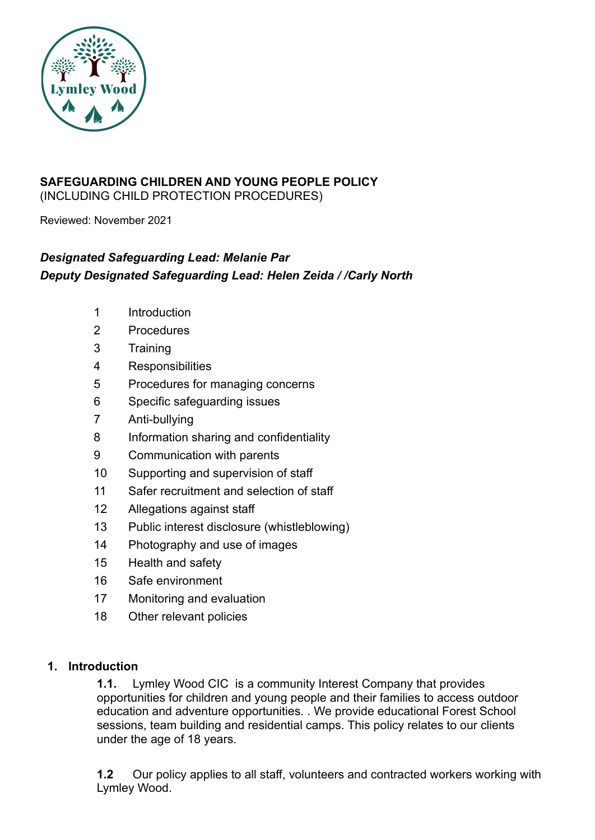

#### **SAFEGUARDING CHILDREN AND YOUNG PEOPLE POLICY** (INCLUDING CHILD PROTECTION PROCEDURES)

Reviewed: November 2021

## *Designated Safeguarding Lead: Melanie Par Deputy Designated Safeguarding Lead: Helen Zeida / /Carly North*

- 1 Introduction
- 2 Procedures
- 3 Training
- 4 Responsibilities
- 5 Procedures for managing concerns
- 6 Specific safeguarding issues
- 7 Anti-bullying
- 8 Information sharing and confidentiality
- 9 Communication with parents
- 10 Supporting and supervision of staff
- 11 Safer recruitment and selection of staff
- 12 Allegations against staff
- 13 Public interest disclosure (whistleblowing)
- 14 Photography and use of images
- 15 Health and safety
- 16 Safe environment
- 17 Monitoring and evaluation
- 18 Other relevant policies

#### **1. Introduction**

**1.1.** Lymley Wood CIC is a community Interest Company that provides opportunities for children and young people and their families to access outdoor education and adventure opportunities. . We provide educational Forest School sessions, team building and residential camps. This policy relates to our clients under the age of 18 years.

**1.2** Our policy applies to all staff, volunteers and contracted workers working with Lymley Wood.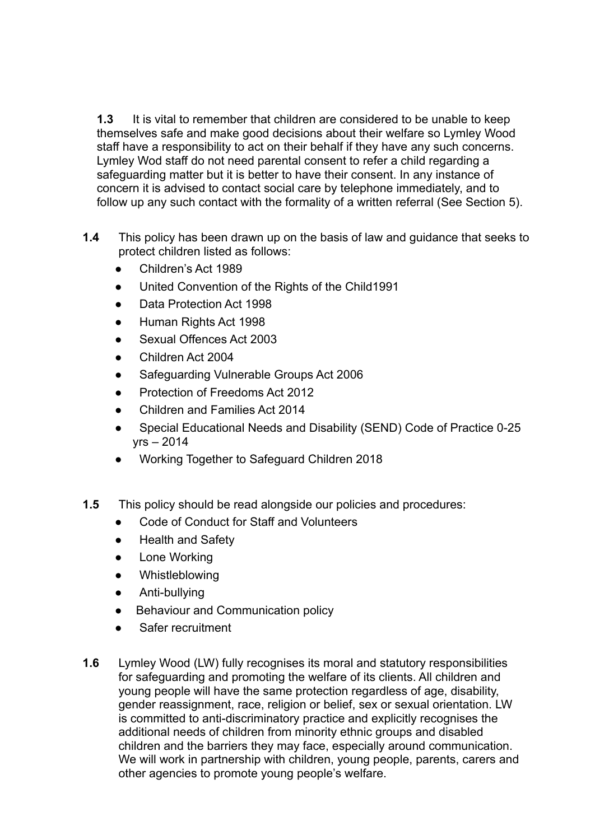**1.3** It is vital to remember that children are considered to be unable to keep themselves safe and make good decisions about their welfare so Lymley Wood staff have a responsibility to act on their behalf if they have any such concerns. Lymley Wod staff do not need parental consent to refer a child regarding a safeguarding matter but it is better to have their consent. In any instance of concern it is advised to contact social care by telephone immediately, and to follow up any such contact with the formality of a written referral (See Section 5).

- **1.4** This policy has been drawn up on the basis of law and guidance that seeks to protect children listed as follows:
	- Children's Act 1989
	- United Convention of the Rights of the Child1991
	- Data Protection Act 1998
	- Human Rights Act 1998
	- Sexual Offences Act 2003
	- Children Act 2004
	- Safeguarding Vulnerable Groups Act 2006
	- **Protection of Freedoms Act 2012**
	- Children and Families Act 2014
	- Special Educational Needs and Disability (SEND) Code of Practice 0-25 yrs – 2014
	- Working Together to Safeguard Children 2018
- **1.5** This policy should be read alongside our policies and procedures:
	- Code of Conduct for Staff and Volunteers
	- Health and Safety
	- Lone Working
	- Whistleblowing
	- Anti-bullying
	- Behaviour and Communication policy
	- Safer recruitment
- **1.6** Lymley Wood (LW) fully recognises its moral and statutory responsibilities for safeguarding and promoting the welfare of its clients. All children and young people will have the same protection regardless of age, disability, gender reassignment, race, religion or belief, sex or sexual orientation. LW is committed to anti-discriminatory practice and explicitly recognises the additional needs of children from minority ethnic groups and disabled children and the barriers they may face, especially around communication. We will work in partnership with children, young people, parents, carers and other agencies to promote young people's welfare.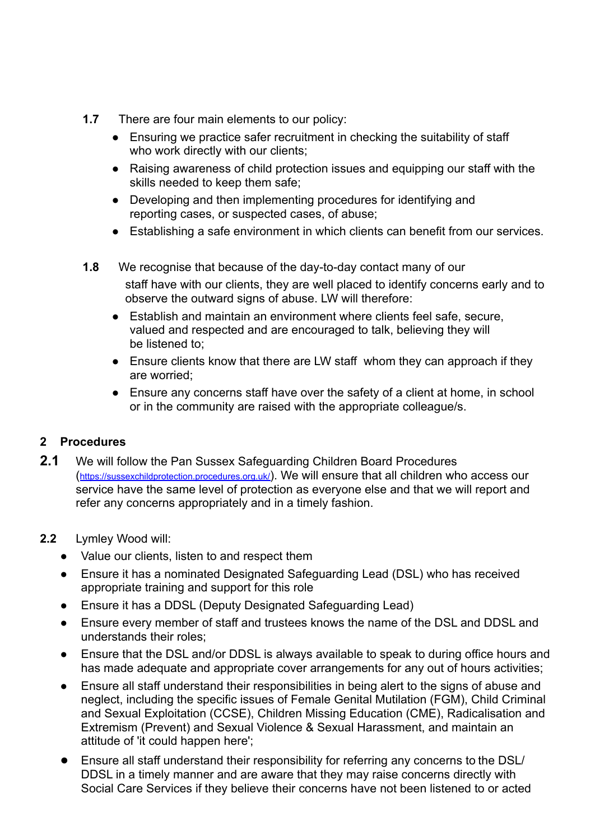- **1.7** There are four main elements to our policy:
	- Ensuring we practice safer recruitment in checking the suitability of staff who work directly with our clients:
	- Raising awareness of child protection issues and equipping our staff with the skills needed to keep them safe;
	- Developing and then implementing procedures for identifying and reporting cases, or suspected cases, of abuse;
	- Establishing a safe environment in which clients can benefit from our services.
- **1.8** We recognise that because of the day-to-day contact many of our staff have with our clients, they are well placed to identify concerns early and to observe the outward signs of abuse. LW will therefore:
	- Establish and maintain an environment where clients feel safe, secure, valued and respected and are encouraged to talk, believing they will be listened to;
	- Ensure clients know that there are LW staff whom they can approach if they are worried;
	- Ensure any concerns staff have over the safety of a client at home, in school or in the community are raised with the appropriate colleague/s.

#### **2 Procedures**

- **2.1** We will follow the Pan Sussex Safeguarding Children Board Procedures (<https://sussexchildprotection.procedures.org.uk/>). We will ensure that all children who access our service have the same level of protection as everyone else and that we will report and refer any concerns appropriately and in a timely fashion.
- **2.2** Lymley Wood will:
	- Value our clients, listen to and respect them
	- Ensure it has a nominated Designated Safeguarding Lead (DSL) who has received appropriate training and support for this role
	- Ensure it has a DDSL (Deputy Designated Safeguarding Lead)
	- Ensure every member of staff and trustees knows the name of the DSL and DDSL and understands their roles;
	- Ensure that the DSL and/or DDSL is always available to speak to during office hours and has made adequate and appropriate cover arrangements for any out of hours activities;
	- Ensure all staff understand their responsibilities in being alert to the signs of abuse and neglect, including the specific issues of Female Genital Mutilation (FGM), Child Criminal and Sexual Exploitation (CCSE), Children Missing Education (CME), Radicalisation and Extremism (Prevent) and Sexual Violence & Sexual Harassment, and maintain an attitude of 'it could happen here';
	- Ensure all staff understand their responsibility for referring any concerns to the DSL/ DDSL in a timely manner and are aware that they may raise concerns directly with Social Care Services if they believe their concerns have not been listened to or acted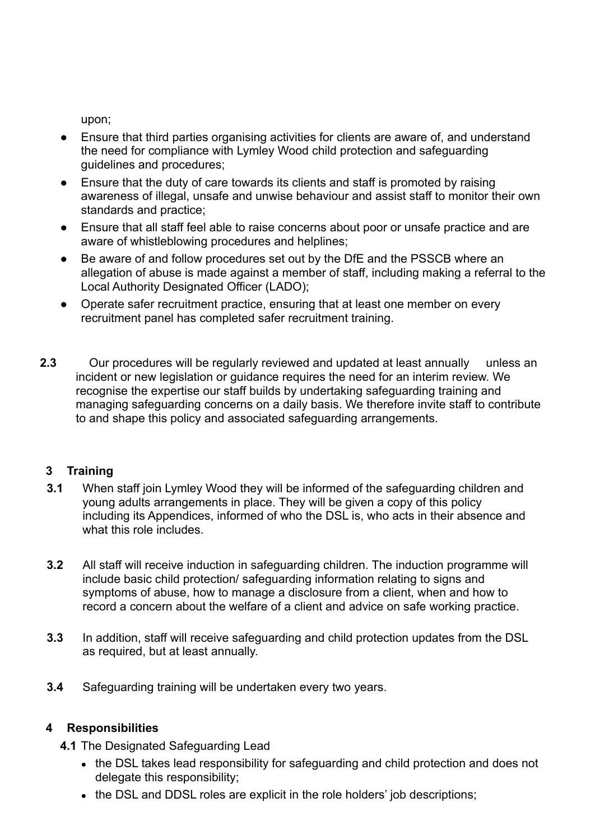upon;

- Ensure that third parties organising activities for clients are aware of, and understand the need for compliance with Lymley Wood child protection and safeguarding guidelines and procedures;
- Ensure that the duty of care towards its clients and staff is promoted by raising awareness of illegal, unsafe and unwise behaviour and assist staff to monitor their own standards and practice;
- Ensure that all staff feel able to raise concerns about poor or unsafe practice and are aware of whistleblowing procedures and helplines;
- Be aware of and follow procedures set out by the DfE and the PSSCB where an allegation of abuse is made against a member of staff, including making a referral to the Local Authority Designated Officer (LADO);
- Operate safer recruitment practice, ensuring that at least one member on every recruitment panel has completed safer recruitment training.
- **2.3** Our procedures will be regularly reviewed and updated at least annually unless an incident or new legislation or guidance requires the need for an interim review. We recognise the expertise our staff builds by undertaking safeguarding training and managing safeguarding concerns on a daily basis. We therefore invite staff to contribute to and shape this policy and associated safeguarding arrangements.

## **3 Training**

- **3.1** When staff join Lymley Wood they will be informed of the safeguarding children and young adults arrangements in place. They will be given a copy of this policy including its Appendices, informed of who the DSL is, who acts in their absence and what this role includes.
- **3.2** All staff will receive induction in safeguarding children. The induction programme will include basic child protection/ safeguarding information relating to signs and symptoms of abuse, how to manage a disclosure from a client, when and how to record a concern about the welfare of a client and advice on safe working practice.
- **3.3** In addition, staff will receive safeguarding and child protection updates from the DSL as required, but at least annually.
- **3.4** Safeguarding training will be undertaken every two years.

## **4 Responsibilities**

- **4.1** The Designated Safeguarding Lead
	- the DSL takes lead responsibility for safeguarding and child protection and does not delegate this responsibility;
	- the DSL and DDSL roles are explicit in the role holders' job descriptions;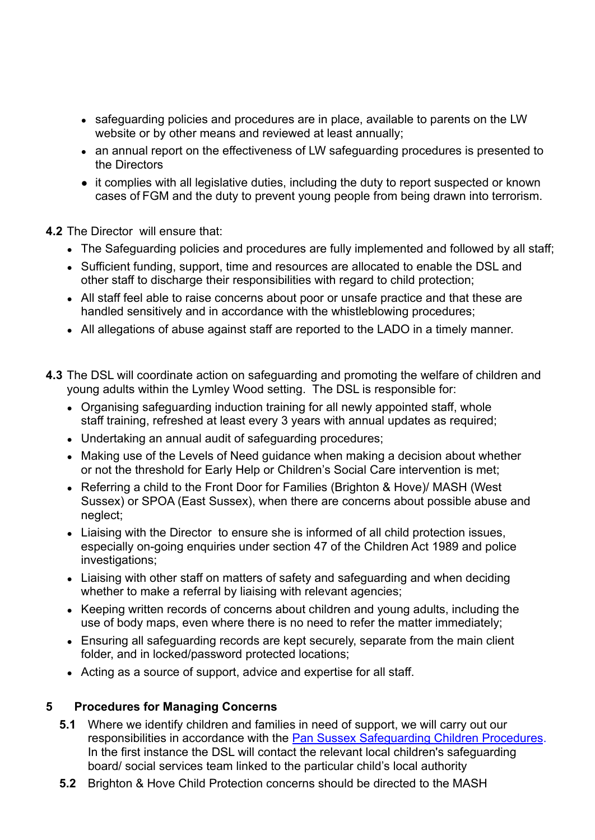- safeguarding policies and procedures are in place, available to parents on the LW website or by other means and reviewed at least annually;
- an annual report on the effectiveness of LW safeguarding procedures is presented to the Directors
- it complies with all legislative duties, including the duty to report suspected or known cases of FGM and the duty to prevent young people from being drawn into terrorism.

#### **4.2** The Director will ensure that:

- The Safeguarding policies and procedures are fully implemented and followed by all staff;
- Sufficient funding, support, time and resources are allocated to enable the DSL and other staff to discharge their responsibilities with regard to child protection;
- All staff feel able to raise concerns about poor or unsafe practice and that these are handled sensitively and in accordance with the whistleblowing procedures;
- All allegations of abuse against staff are reported to the LADO in a timely manner.
- **4.3** The DSL will coordinate action on safeguarding and promoting the welfare of children and young adults within the Lymley Wood setting. The DSL is responsible for:
	- Organising safeguarding induction training for all newly appointed staff, whole staff training, refreshed at least every 3 years with annual updates as required;
	- Undertaking an annual audit of safeguarding procedures;
	- Making use of the Levels of Need guidance when making a decision about whether or not the threshold for Early Help or Children's Social Care intervention is met;
	- Referring a child to the Front Door for Families (Brighton & Hove)/ MASH (West Sussex) or SPOA (East Sussex), when there are concerns about possible abuse and neglect;
	- Liaising with the Director to ensure she is informed of all child protection issues, especially on-going enquiries under section 47 of the Children Act 1989 and police investigations;
	- Liaising with other staff on matters of safety and safeguarding and when deciding whether to make a referral by liaising with relevant agencies;
	- Keeping written records of concerns about children and young adults, including the use of body maps, even where there is no need to refer the matter immediately;
	- Ensuring all safeguarding records are kept securely, separate from the main client folder, and in locked/password protected locations;
	- Acting as a source of support, advice and expertise for all staff.

#### **5 Procedures for Managing Concerns**

- **5.1** Where we identify children and families in need of support, we will carry out our responsibilities in accordance with the Pan Sussex Safeguarding Children Procedures. In the first instance the DSL will contact the relevant local children's safeguarding board/ social services team linked to the particular child's local authority
- **5.2** Brighton & Hove Child Protection concerns should be directed to the MASH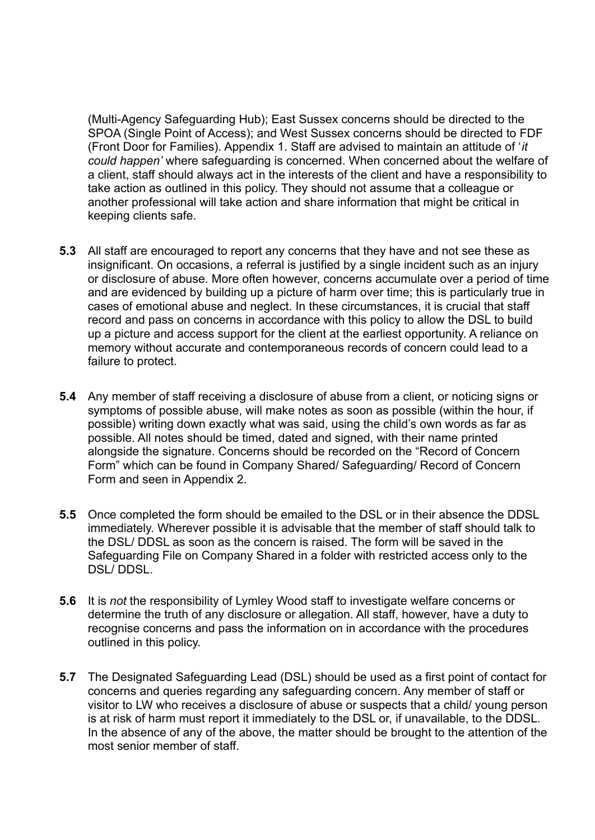(Multi-Agency Safeguarding Hub); East Sussex concerns should be directed to the SPOA (Single Point of Access); and West Sussex concerns should be directed to FDF (Front Door for Families). Appendix 1. Staff are advised to maintain an attitude of '*it could happen'* where safeguarding is concerned. When concerned about the welfare of a client, staff should always act in the interests of the client and have a responsibility to take action as outlined in this policy. They should not assume that a colleague or another professional will take action and share information that might be critical in keeping clients safe.

- **5.3** All staff are encouraged to report any concerns that they have and not see these as insignificant. On occasions, a referral is justified by a single incident such as an injury or disclosure of abuse. More often however, concerns accumulate over a period of time and are evidenced by building up a picture of harm over time; this is particularly true in cases of emotional abuse and neglect. In these circumstances, it is crucial that staff record and pass on concerns in accordance with this policy to allow the DSL to build up a picture and access support for the client at the earliest opportunity. A reliance on memory without accurate and contemporaneous records of concern could lead to a failure to protect.
- **5.4** Any member of staff receiving a disclosure of abuse from a client, or noticing signs or symptoms of possible abuse, will make notes as soon as possible (within the hour, if possible) writing down exactly what was said, using the child's own words as far as possible. All notes should be timed, dated and signed, with their name printed alongside the signature. Concerns should be recorded on the "Record of Concern Form" which can be found in Company Shared/ Safeguarding/ Record of Concern Form and seen in Appendix 2.
- **5.5** Once completed the form should be emailed to the DSL or in their absence the DDSL immediately. Wherever possible it is advisable that the member of staff should talk to the DSL/ DDSL as soon as the concern is raised. The form will be saved in the Safeguarding File on Company Shared in a folder with restricted access only to the DSL/ DDSL.
- **5.6** It is *not* the responsibility of Lymley Wood staff to investigate welfare concerns or determine the truth of any disclosure or allegation. All staff, however, have a duty to recognise concerns and pass the information on in accordance with the procedures outlined in this policy.
- **5.7** The Designated Safeguarding Lead (DSL) should be used as a first point of contact for concerns and queries regarding any safeguarding concern. Any member of staff or visitor to LW who receives a disclosure of abuse or suspects that a child/ young person is at risk of harm must report it immediately to the DSL or, if unavailable, to the DDSL. In the absence of any of the above, the matter should be brought to the attention of the most senior member of staff.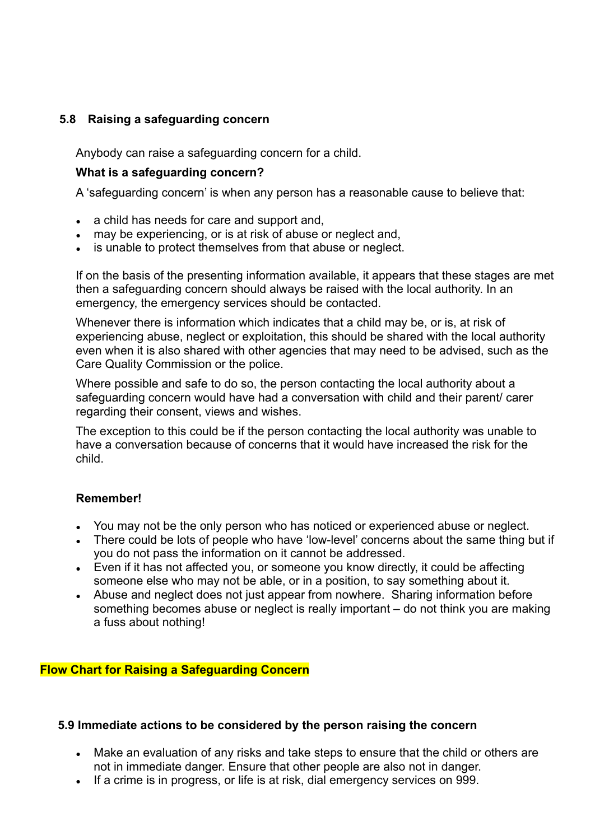### **5.8 Raising a safeguarding concern**

Anybody can raise a safeguarding concern for a child.

#### **What is a safeguarding concern?**

A 'safeguarding concern' is when any person has a reasonable cause to believe that:

- a child has needs for care and support and,
- may be experiencing, or is at risk of abuse or neglect and,
- is unable to protect themselves from that abuse or neglect.

If on the basis of the presenting information available, it appears that these stages are met then a safeguarding concern should always be raised with the local authority. In an emergency, the emergency services should be contacted.

Whenever there is information which indicates that a child may be, or is, at risk of experiencing abuse, neglect or exploitation, this should be shared with the local authority even when it is also shared with other agencies that may need to be advised, such as the Care Quality Commission or the police.

Where possible and safe to do so, the person contacting the local authority about a safeguarding concern would have had a conversation with child and their parent/ carer regarding their consent, views and wishes.

The exception to this could be if the person contacting the local authority was unable to have a conversation because of concerns that it would have increased the risk for the child.

#### **Remember!**

- You may not be the only person who has noticed or experienced abuse or neglect.
- There could be lots of people who have 'low-level' concerns about the same thing but if you do not pass the information on it cannot be addressed.
- Even if it has not affected you, or someone you know directly, it could be affecting someone else who may not be able, or in a position, to say something about it.
- Abuse and neglect does not just appear from nowhere. Sharing information before something becomes abuse or neglect is really important – do not think you are making a fuss about nothing!

#### **Flow Chart for Raising a Safeguarding Concern**

#### **5.9 Immediate actions to be considered by the person raising the concern**

- Make an evaluation of any risks and take steps to ensure that the child or others are not in immediate danger. Ensure that other people are also not in danger.
- If a crime is in progress, or life is at risk, dial emergency services on 999.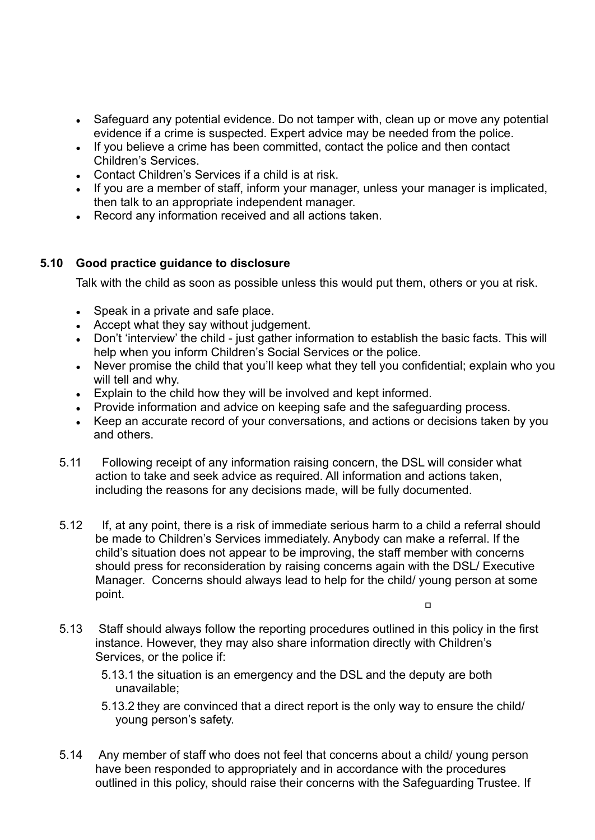- Safeguard any potential evidence. Do not tamper with, clean up or move any potential evidence if a crime is suspected. Expert advice may be needed from the police.
- If you believe a crime has been committed, contact the police and then contact Children's Services.
- Contact Children's Services if a child is at risk.
- If you are a member of staff, inform your manager, unless your manager is implicated, then talk to an appropriate independent manager.
- Record any information received and all actions taken.

#### **5.10 Good practice guidance to disclosure**

Talk with the child as soon as possible unless this would put them, others or you at risk.

- Speak in a private and safe place.
- Accept what they say without judgement.
- Don't 'interview' the child just gather information to establish the basic facts. This will help when you inform Children's Social Services or the police.
- Never promise the child that you'll keep what they tell you confidential; explain who you will tell and why.
- Explain to the child how they will be involved and kept informed.
- Provide information and advice on keeping safe and the safeguarding process.
- Keep an accurate record of your conversations, and actions or decisions taken by you and others.
- 5.11 Following receipt of any information raising concern, the DSL will consider what action to take and seek advice as required. All information and actions taken, including the reasons for any decisions made, will be fully documented.
- 5.12 If, at any point, there is a risk of immediate serious harm to a child a referral should be made to Children's Services immediately. Anybody can make a referral. If the child's situation does not appear to be improving, the staff member with concerns should press for reconsideration by raising concerns again with the DSL/ Executive Manager. Concerns should always lead to help for the child/ young person at some point.

 $\Box$ 

- 5.13 Staff should always follow the reporting procedures outlined in this policy in the first instance. However, they may also share information directly with Children's Services, or the police if:
	- 5.13.1 the situation is an emergency and the DSL and the deputy are both unavailable;
	- 5.13.2 they are convinced that a direct report is the only way to ensure the child/ young person's safety.
- 5.14 Any member of staff who does not feel that concerns about a child/ young person have been responded to appropriately and in accordance with the procedures outlined in this policy, should raise their concerns with the Safeguarding Trustee. If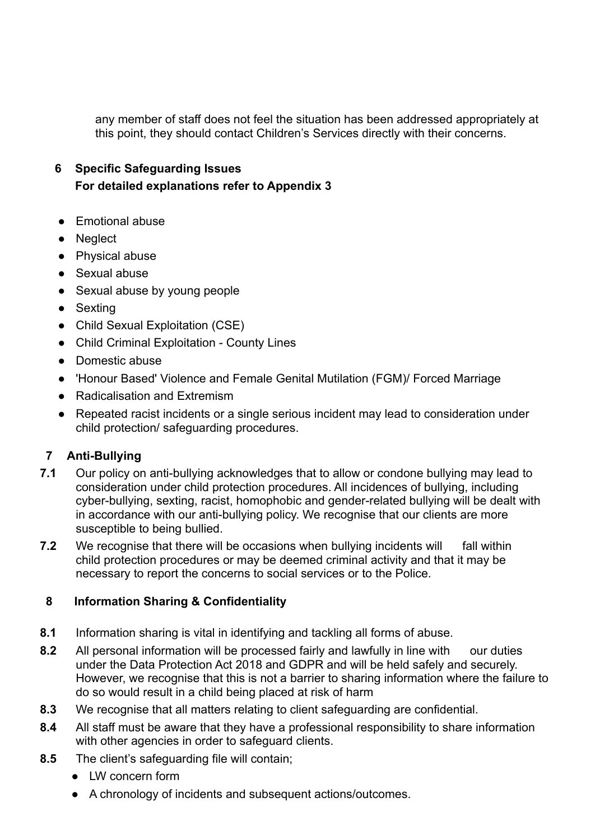any member of staff does not feel the situation has been addressed appropriately at this point, they should contact Children's Services directly with their concerns.

## **6 Specific Safeguarding Issues For detailed explanations refer to Appendix 3**

- Emotional abuse
- Neglect
- Physical abuse
- Sexual abuse
- Sexual abuse by young people
- Sexting
- Child Sexual Exploitation (CSE)
- Child Criminal Exploitation County Lines
- Domestic abuse
- 'Honour Based' Violence and Female Genital Mutilation (FGM)/ Forced Marriage
- Radicalisation and Extremism
- Repeated racist incidents or a single serious incident may lead to consideration under child protection/ safeguarding procedures.

## **7 Anti-Bullying**

- **7.1** Our policy on anti-bullying acknowledges that to allow or condone bullying may lead to consideration under child protection procedures. All incidences of bullying, including cyber-bullying, sexting, racist, homophobic and gender-related bullying will be dealt with in accordance with our anti-bullying policy. We recognise that our clients are more susceptible to being bullied.
- **7.2** We recognise that there will be occasions when bullying incidents will fall within child protection procedures or may be deemed criminal activity and that it may be necessary to report the concerns to social services or to the Police.

#### **8 Information Sharing & Confidentiality**

- **8.1** Information sharing is vital in identifying and tackling all forms of abuse.
- **8.2** All personal information will be processed fairly and lawfully in line with our duties under the Data Protection Act 2018 and GDPR and will be held safely and securely. However, we recognise that this is not a barrier to sharing information where the failure to do so would result in a child being placed at risk of harm
- **8.3** We recognise that all matters relating to client safeguarding are confidential.
- **8.4** All staff must be aware that they have a professional responsibility to share information with other agencies in order to safeguard clients.
- **8.5** The client's safeguarding file will contain;
	- LW concern form
	- A chronology of incidents and subsequent actions/outcomes.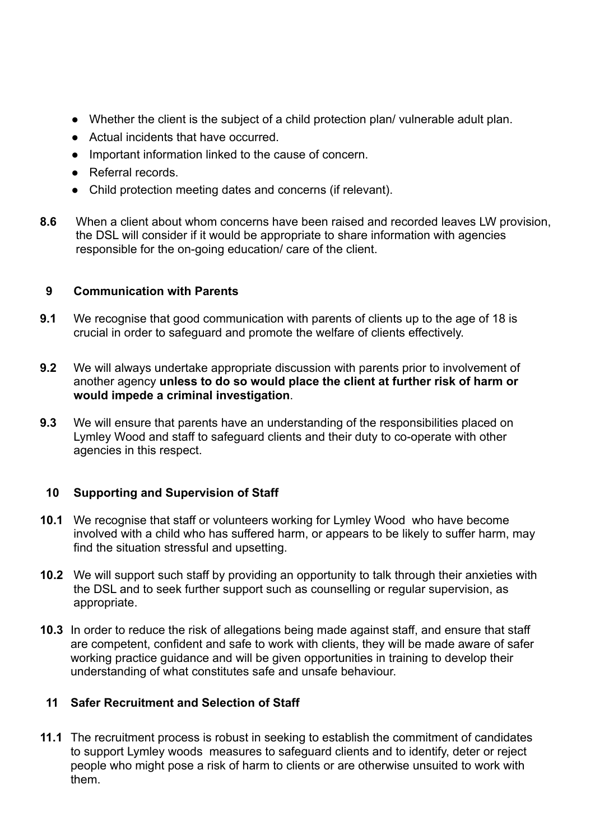- Whether the client is the subject of a child protection plan/ vulnerable adult plan.
- Actual incidents that have occurred.
- Important information linked to the cause of concern.
- Referral records.
- Child protection meeting dates and concerns (if relevant).
- **8.6** When a client about whom concerns have been raised and recorded leaves LW provision, the DSL will consider if it would be appropriate to share information with agencies responsible for the on-going education/ care of the client.

## **9 Communication with Parents**

- **9.1** We recognise that good communication with parents of clients up to the age of 18 is crucial in order to safeguard and promote the welfare of clients effectively.
- **9.2** We will always undertake appropriate discussion with parents prior to involvement of another agency **unless to do so would place the client at further risk of harm or would impede a criminal investigation**.
- **9.3** We will ensure that parents have an understanding of the responsibilities placed on Lymley Wood and staff to safeguard clients and their duty to co-operate with other agencies in this respect.

#### **10 Supporting and Supervision of Staff**

- **10.1** We recognise that staff or volunteers working for Lymley Wood who have become involved with a child who has suffered harm, or appears to be likely to suffer harm, may find the situation stressful and upsetting.
- **10.2** We will support such staff by providing an opportunity to talk through their anxieties with the DSL and to seek further support such as counselling or regular supervision, as appropriate.
- **10.3** In order to reduce the risk of allegations being made against staff, and ensure that staff are competent, confident and safe to work with clients, they will be made aware of safer working practice guidance and will be given opportunities in training to develop their understanding of what constitutes safe and unsafe behaviour.

#### **11 Safer Recruitment and Selection of Staff**

**11.1** The recruitment process is robust in seeking to establish the commitment of candidates to support Lymley woods measures to safeguard clients and to identify, deter or reject people who might pose a risk of harm to clients or are otherwise unsuited to work with them.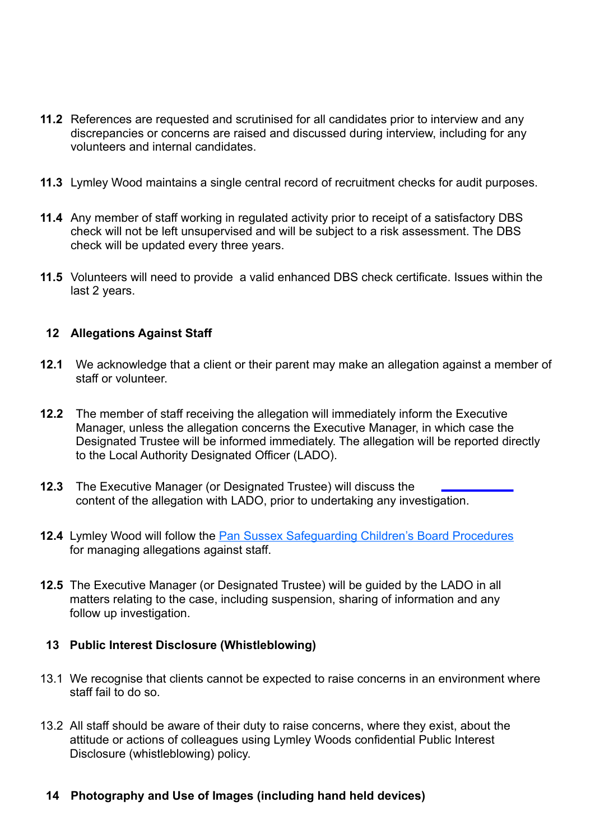- **11.2** References are requested and scrutinised for all candidates prior to interview and any discrepancies or concerns are raised and discussed during interview, including for any volunteers and internal candidates.
- **11.3** Lymley Wood maintains a single central record of recruitment checks for audit purposes.
- **11.4** Any member of staff working in regulated activity prior to receipt of a satisfactory DBS check will not be left unsupervised and will be subject to a risk assessment. The DBS check will be updated every three years.
- **11.5** Volunteers will need to provide a valid enhanced DBS check certificate. Issues within the last 2 years.

#### **12 Allegations Against Staff**

- **12.1** We acknowledge that a client or their parent may make an allegation against a member of staff or volunteer.
- **12.2** The member of staff receiving the allegation will immediately inform the Executive Manager, unless the allegation concerns the Executive Manager, in which case the Designated Trustee will be informed immediately. The allegation will be reported directly to the Local Authority Designated Officer (LADO).
- **12.3** The Executive Manager (or Designated Trustee) will discuss the content of the allegation with LADO, prior to undertaking any investigation.
- 12.4 Lymley Wood will follow the **Pan Sussex Safeguarding Children's Board Procedures** for managing allegations against staff.
- **12.5** The Executive Manager (or Designated Trustee) will be guided by the LADO in all matters relating to the case, including suspension, sharing of information and any follow up investigation.

#### **13 Public Interest Disclosure (Whistleblowing)**

- 13.1 We recognise that clients cannot be expected to raise concerns in an environment where staff fail to do so.
- 13.2 All staff should be aware of their duty to raise concerns, where they exist, about the attitude or actions of colleagues using Lymley Woods confidential Public Interest Disclosure (whistleblowing) policy.

#### **14 Photography and Use of Images (including hand held devices)**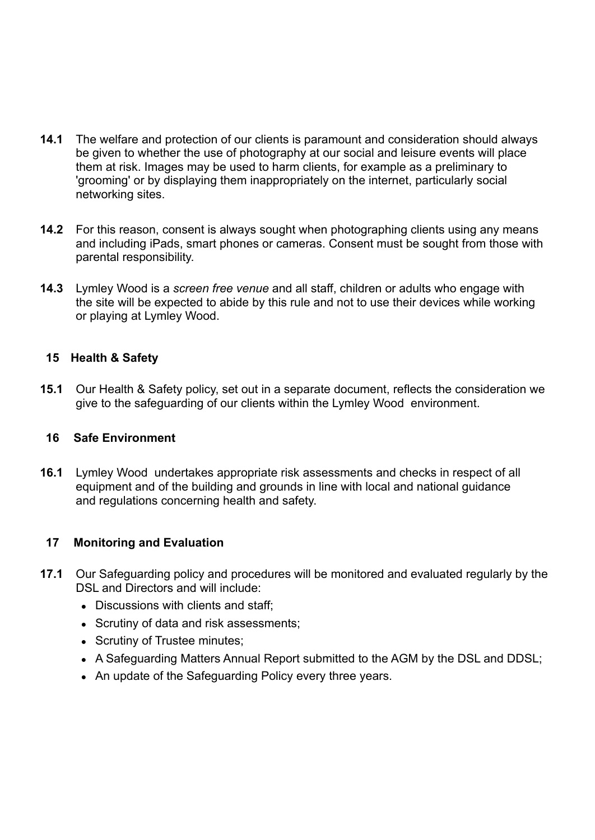- **14.1** The welfare and protection of our clients is paramount and consideration should always be given to whether the use of photography at our social and leisure events will place them at risk. Images may be used to harm clients, for example as a preliminary to 'grooming' or by displaying them inappropriately on the internet, particularly social networking sites.
- **14.2** For this reason, consent is always sought when photographing clients using any means and including iPads, smart phones or cameras. Consent must be sought from those with parental responsibility.
- **14.3** Lymley Wood is a *screen free venue* and all staff, children or adults who engage with the site will be expected to abide by this rule and not to use their devices while working or playing at Lymley Wood.

#### **15 Health & Safety**

**15.1** Our Health & Safety policy, set out in a separate document, reflects the consideration we give to the safeguarding of our clients within the Lymley Wood environment.

#### **16 Safe Environment**

**16.1** Lymley Wood undertakes appropriate risk assessments and checks in respect of all equipment and of the building and grounds in line with local and national guidance and regulations concerning health and safety.

#### **17 Monitoring and Evaluation**

- **17.1** Our Safeguarding policy and procedures will be monitored and evaluated regularly by the DSL and Directors and will include:
	- Discussions with clients and staff:
	- Scrutiny of data and risk assessments;
	- Scrutiny of Trustee minutes:
	- A Safeguarding Matters Annual Report submitted to the AGM by the DSL and DDSL;
	- An update of the Safeguarding Policy every three years.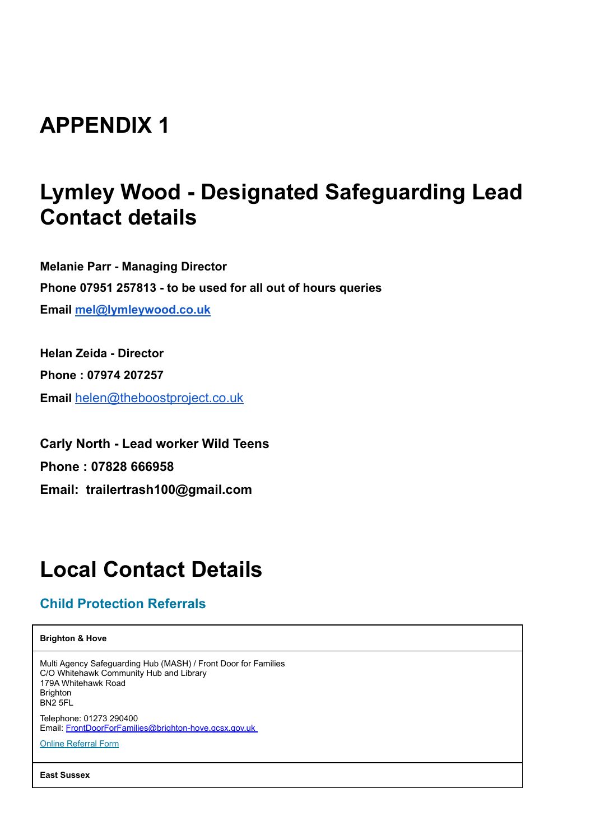# **APPENDIX 1**

# **Lymley Wood - Designated Safeguarding Lead Contact details**

**Melanie Parr - Managing Director Phone 07951 257813 - to be used for all out of hours queries Email [mel@lymleywood.co.uk](mailto:mel@lymleywood.co.uk)**

**Helan Zeida - Director Phone : 07974 207257 Email** [helen@theboostproject.co.uk](mailto:helen@theboostproject.co.uk)

**Carly North - Lead worker Wild Teens Phone : 07828 666958 Email: trailertrash100@gmail.com**

# **Local Contact Details**

## **Child Protection Referrals**

**Brighton & Hove**

Multi Agency Safeguarding Hub (MASH) / Front Door for Families C/O Whitehawk Community Hub and Library 179A Whitehawk Road **Brighton** BN2 5FL Telephone: 01273 290400 Email: [FrontDoorForFamilies@brighton-hove.gcsx.gov.uk](mailto:FrontDoorForFamilies@brighton-hove.gcsx.gov.uk )

Online [Referral](https://www.brighton-hove.gov.uk/content/children-and-education/front-door-families/front-door-families-referral-form-professionals) Form

**East Sussex**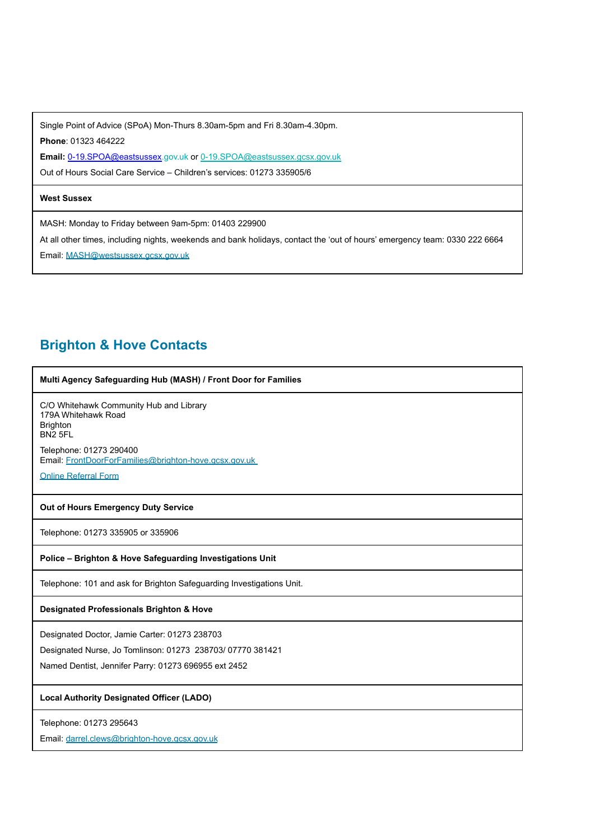Single Point of Advice (SPoA) Mon-Thurs 8.30am-5pm and Fri 8.30am-4.30pm. **Phone**: 01323 464222

Email: 0-19.SPOA@eastsussex.gov.uk or [0-19.SPOA@eastsussex.gcsx.gov.uk](mailto:0-19.SPOA@eastsussex.gcsx.gov.uk)

Out of Hours Social Care Service – Children's services: 01273 335905/6

#### **West Sussex**

MASH: Monday to Friday between 9am-5pm: 01403 229900

At all other times, including nights, weekends and bank holidays, contact the 'out of hours' emergency team: 0330 222 6664

Email: [MASH@westsussex.gcsx.gov.uk](mailto:MASH@westsussex.gcsx.gov.uk)

## **Brighton & Hove Contacts**

| Multi Agency Safeguarding Hub (MASH) / Front Door for Families                                           |
|----------------------------------------------------------------------------------------------------------|
| C/O Whitehawk Community Hub and Library<br>179A Whitehawk Road<br><b>Brighton</b><br>BN <sub>2</sub> 5FL |
| Telephone: 01273 290400<br>Email: FrontDoorForFamilies@brighton-hove.gcsx.gov.uk                         |
| <b>Online Referral Form</b>                                                                              |
| Out of Hours Emergency Duty Service                                                                      |
| Telephone: 01273 335905 or 335906                                                                        |
| Police - Brighton & Hove Safeguarding Investigations Unit                                                |
| Telephone: 101 and ask for Brighton Safeguarding Investigations Unit.                                    |
| Designated Professionals Brighton & Hove                                                                 |
| Designated Doctor, Jamie Carter: 01273 238703                                                            |
| Designated Nurse, Jo Tomlinson: 01273 238703/ 07770 381421                                               |
| Named Dentist, Jennifer Parry: 01273 696955 ext 2452                                                     |
| <b>Local Authority Designated Officer (LADO)</b>                                                         |
| Telephone: 01273 295643                                                                                  |
| Email: darrel.clews@brighton-hove.gcsx.gov.uk                                                            |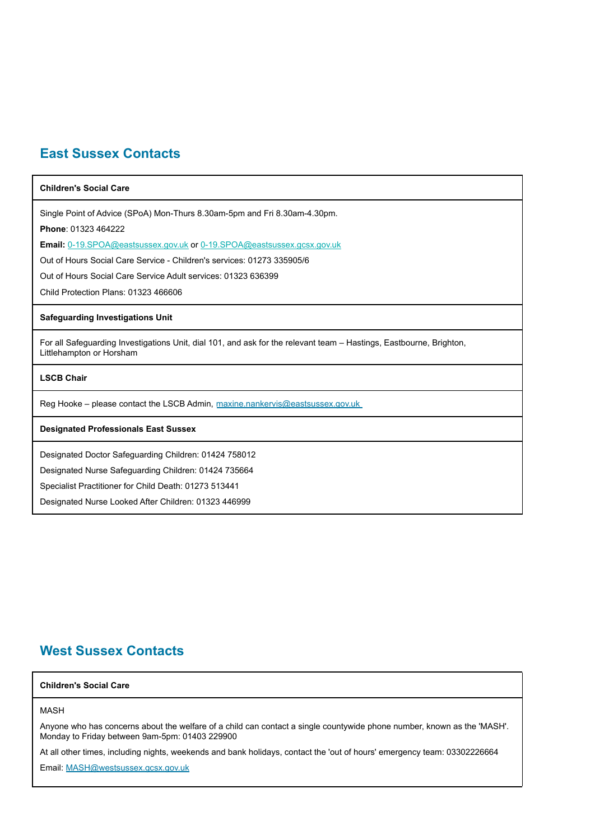## **East Sussex Contacts**

| <b>Children's Social Care</b>                                                                                                                   |
|-------------------------------------------------------------------------------------------------------------------------------------------------|
| Single Point of Advice (SPoA) Mon-Thurs 8.30am-5pm and Fri 8.30am-4.30pm.                                                                       |
| Phone: 01323 464222                                                                                                                             |
| Email: 0-19.SPOA@eastsussex.gov.uk or 0-19.SPOA@eastsussex.gcsx.gov.uk                                                                          |
| Out of Hours Social Care Service - Children's services: 01273 335905/6                                                                          |
| Out of Hours Social Care Service Adult services: 01323 636399                                                                                   |
| Child Protection Plans: 01323 466606                                                                                                            |
| <b>Safeguarding Investigations Unit</b>                                                                                                         |
| For all Safeguarding Investigations Unit, dial 101, and ask for the relevant team – Hastings, Eastbourne, Brighton,<br>Littlehampton or Horsham |
| <b>LSCB Chair</b>                                                                                                                               |
| Reg Hooke – please contact the LSCB Admin, maxine nankervis@eastsussex.gov.uk                                                                   |
| <b>Designated Professionals East Sussex</b>                                                                                                     |
| Designated Doctor Safeguarding Children: 01424 758012                                                                                           |
| Designated Nurse Safeguarding Children: 01424 735664                                                                                            |
| Specialist Practitioner for Child Death: 01273 513441                                                                                           |
| Designated Nurse Looked After Children: 01323 446999                                                                                            |

## **West Sussex Contacts**

#### **Children's Social Care**

#### MASH

Anyone who has concerns about the welfare of a child can contact a single countywide phone number, known as the 'MASH'. Monday to Friday between 9am-5pm: 01403 229900

At all other times, including nights, weekends and bank holidays, contact the 'out of hours' emergency team: 03302226664

Email: [MASH@westsussex.gcsx.gov.uk](mailto:MASH@westsussex.gcsx.gov.uk)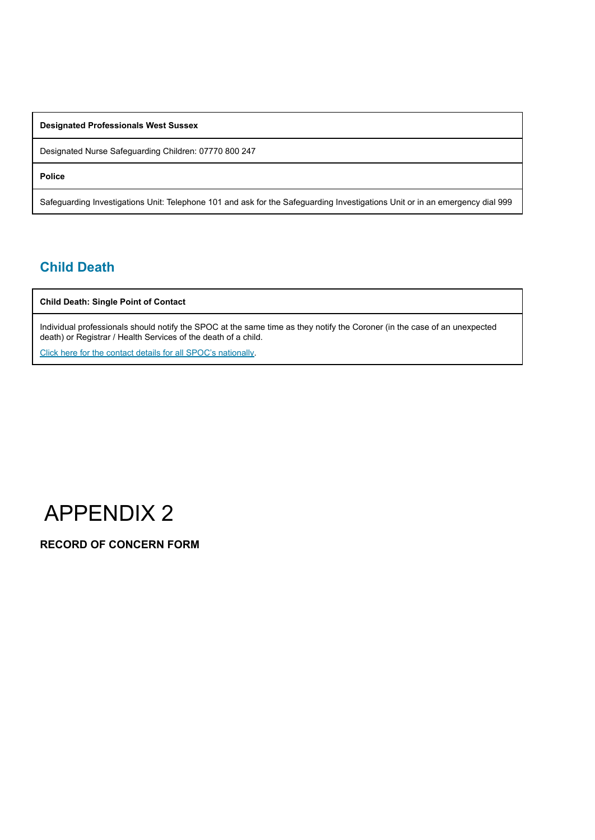**Designated Professionals West Sussex**

Designated Nurse Safeguarding Children: 07770 800 247

**Police**

Safeguarding Investigations Unit: Telephone 101 and ask for the Safeguarding Investigations Unit or in an emergency dial 999

## **Child Death**

**Child Death: Single Point of Contact**

Individual professionals should notify the SPOC at the same time as they notify the Coroner (in the case of an unexpected death) or Registrar / Health Services of the death of a child.

Click here for the contact details for all SPOC's [nationally.](https://www.gov.uk/government/publications/child-death-overview-panels-contacts)



**RECORD OF CONCERN FORM**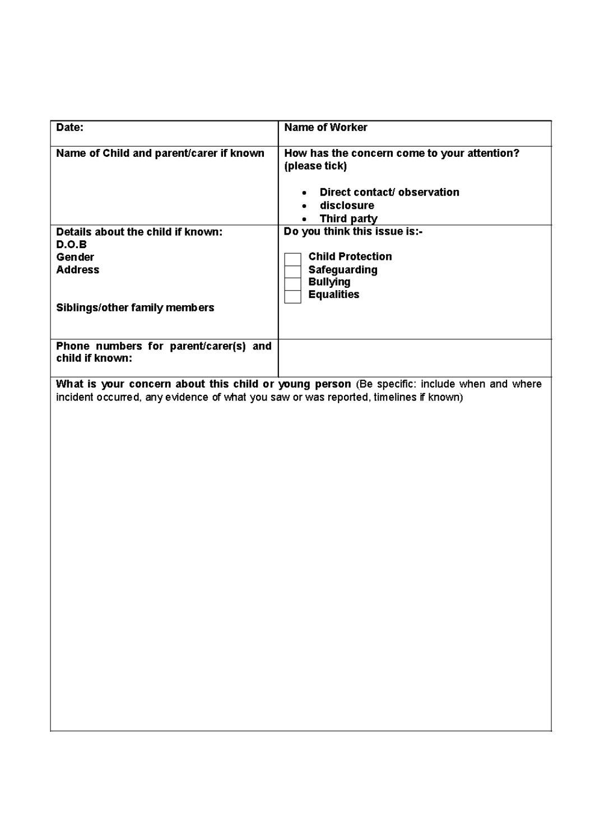| Date:                                                                                | <b>Name of Worker</b>                                                                      |
|--------------------------------------------------------------------------------------|--------------------------------------------------------------------------------------------|
|                                                                                      |                                                                                            |
| Name of Child and parent/carer if known                                              | How has the concern come to your attention?                                                |
|                                                                                      | (please tick)                                                                              |
|                                                                                      |                                                                                            |
|                                                                                      |                                                                                            |
|                                                                                      | Direct contact/ observation<br>٠                                                           |
|                                                                                      | disclosure<br>٠                                                                            |
|                                                                                      | Third party                                                                                |
| Details about the child if known:                                                    | Do you think this issue is:-                                                               |
| D.O.B                                                                                |                                                                                            |
| Gender                                                                               | <b>Child Protection</b>                                                                    |
| <b>Address</b>                                                                       |                                                                                            |
|                                                                                      | <b>Safeguarding</b>                                                                        |
|                                                                                      | <b>Bullying</b>                                                                            |
|                                                                                      | <b>Equalities</b>                                                                          |
| Siblings/other family members                                                        |                                                                                            |
|                                                                                      |                                                                                            |
|                                                                                      |                                                                                            |
| Phone numbers for parent/carer(s) and                                                |                                                                                            |
| child if known:                                                                      |                                                                                            |
|                                                                                      |                                                                                            |
|                                                                                      |                                                                                            |
|                                                                                      | What is your concern about this child or young person (Be specific: include when and where |
| incident occurred, any evidence of what you saw or was reported, timelines if known) |                                                                                            |
|                                                                                      |                                                                                            |
|                                                                                      |                                                                                            |
|                                                                                      |                                                                                            |
|                                                                                      |                                                                                            |
|                                                                                      |                                                                                            |
|                                                                                      |                                                                                            |
|                                                                                      |                                                                                            |
|                                                                                      |                                                                                            |
|                                                                                      |                                                                                            |
|                                                                                      |                                                                                            |
|                                                                                      |                                                                                            |
|                                                                                      |                                                                                            |
|                                                                                      |                                                                                            |
|                                                                                      |                                                                                            |
|                                                                                      |                                                                                            |
|                                                                                      |                                                                                            |
|                                                                                      |                                                                                            |
|                                                                                      |                                                                                            |
|                                                                                      |                                                                                            |
|                                                                                      |                                                                                            |
|                                                                                      |                                                                                            |
|                                                                                      |                                                                                            |
|                                                                                      |                                                                                            |
|                                                                                      |                                                                                            |
|                                                                                      |                                                                                            |
|                                                                                      |                                                                                            |
|                                                                                      |                                                                                            |
|                                                                                      |                                                                                            |
|                                                                                      |                                                                                            |
|                                                                                      |                                                                                            |

 $\overline{\phantom{a}}$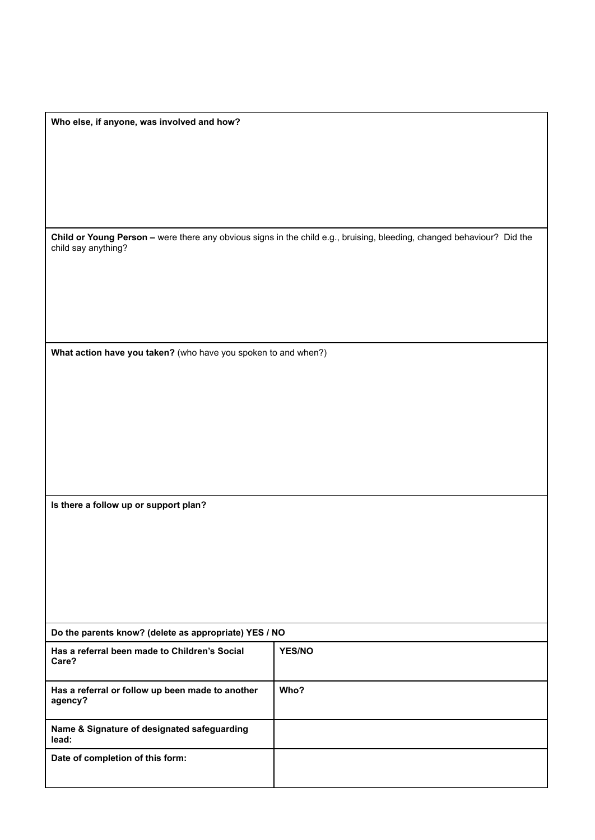| Who else, if anyone, was involved and how? |  |  |
|--------------------------------------------|--|--|
|--------------------------------------------|--|--|

**Child or Young Person –** were there any obvious signs in the child e.g., bruising, bleeding, changed behaviour? Did the child say anything?

**What action have you taken?** (who have you spoken to and when?)

**Is there a follow up or support plan?**

| Do the parents know? (delete as appropriate) YES / NO       |               |  |
|-------------------------------------------------------------|---------------|--|
| Has a referral been made to Children's Social<br>Care?      | <b>YES/NO</b> |  |
| Has a referral or follow up been made to another<br>agency? | Who?          |  |
| Name & Signature of designated safeguarding<br>lead:        |               |  |
| Date of completion of this form:                            |               |  |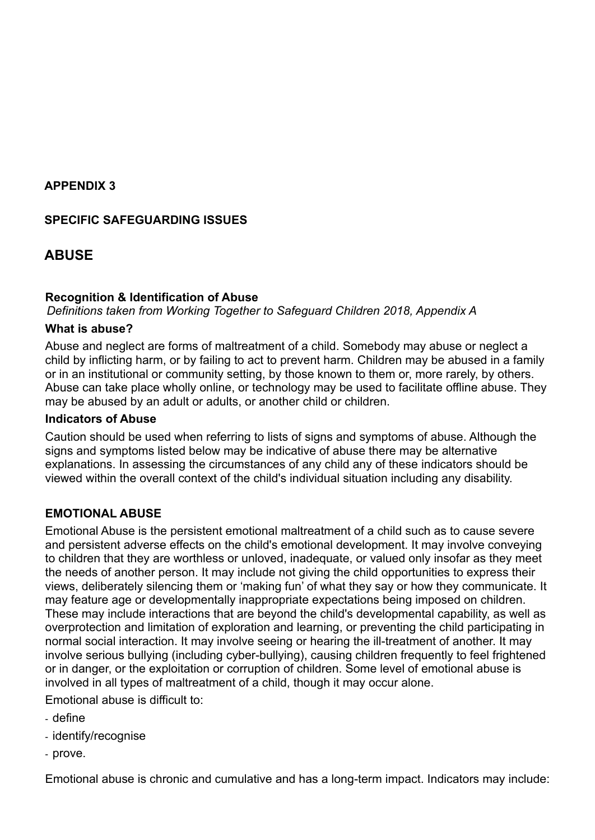#### **APPENDIX 3**

#### **SPECIFIC SAFEGUARDING ISSUES**

## **ABUSE**

#### **Recognition & Identification of Abuse**

*Definitions taken from Working Together to Safeguard Children 2018, Appendix A*

#### **What is abuse?**

Abuse and neglect are forms of maltreatment of a child. Somebody may abuse or neglect a child by inflicting harm, or by failing to act to prevent harm. Children may be abused in a family or in an institutional or community setting, by those known to them or, more rarely, by others. Abuse can take place wholly online, or technology may be used to facilitate offline abuse. They may be abused by an adult or adults, or another child or children.

#### **Indicators of Abuse**

Caution should be used when referring to lists of signs and symptoms of abuse. Although the signs and symptoms listed below may be indicative of abuse there may be alternative explanations. In assessing the circumstances of any child any of these indicators should be viewed within the overall context of the child's individual situation including any disability.

#### **EMOTIONAL ABUSE**

Emotional Abuse is the persistent emotional maltreatment of a child such as to cause severe and persistent adverse effects on the child's emotional development. It may involve conveying to children that they are worthless or unloved, inadequate, or valued only insofar as they meet the needs of another person. It may include not giving the child opportunities to express their views, deliberately silencing them or 'making fun' of what they say or how they communicate. It may feature age or developmentally inappropriate expectations being imposed on children. These may include interactions that are beyond the child's developmental capability, as well as overprotection and limitation of exploration and learning, or preventing the child participating in normal social interaction. It may involve seeing or hearing the ill-treatment of another. It may involve serious bullying (including cyber-bullying), causing children frequently to feel frightened or in danger, or the exploitation or corruption of children. Some level of emotional abuse is involved in all types of maltreatment of a child, though it may occur alone.

Emotional abuse is difficult to:

- define
- identify/recognise
- prove.

Emotional abuse is chronic and cumulative and has a long-term impact. Indicators may include: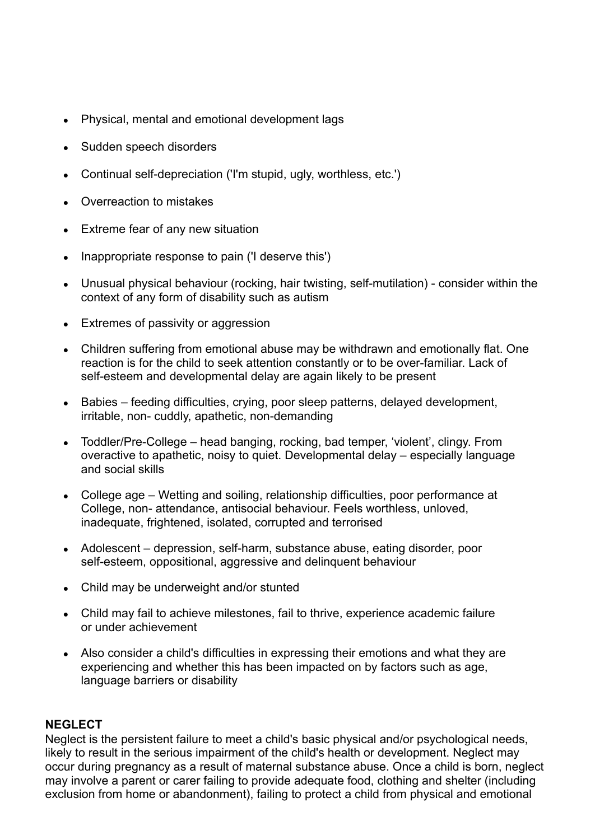- Physical, mental and emotional development lags
- Sudden speech disorders
- Continual self-depreciation ('I'm stupid, ugly, worthless, etc.')
- Overreaction to mistakes
- Extreme fear of any new situation
- Inappropriate response to pain ('I deserve this')
- Unusual physical behaviour (rocking, hair twisting, self-mutilation) consider within the context of any form of disability such as autism
- Extremes of passivity or aggression
- Children suffering from emotional abuse may be withdrawn and emotionally flat. One reaction is for the child to seek attention constantly or to be over-familiar. Lack of self-esteem and developmental delay are again likely to be present
- Babies feeding difficulties, crying, poor sleep patterns, delayed development, irritable, non- cuddly, apathetic, non-demanding
- Toddler/Pre-College head banging, rocking, bad temper, 'violent', clingy. From overactive to apathetic, noisy to quiet. Developmental delay – especially language and social skills
- College age Wetting and soiling, relationship difficulties, poor performance at College, non- attendance, antisocial behaviour. Feels worthless, unloved, inadequate, frightened, isolated, corrupted and terrorised
- Adolescent depression, self-harm, substance abuse, eating disorder, poor self-esteem, oppositional, aggressive and delinquent behaviour
- Child may be underweight and/or stunted
- Child may fail to achieve milestones, fail to thrive, experience academic failure or under achievement
- Also consider a child's difficulties in expressing their emotions and what they are experiencing and whether this has been impacted on by factors such as age, language barriers or disability

#### **NEGLECT**

Neglect is the persistent failure to meet a child's basic physical and/or psychological needs, likely to result in the serious impairment of the child's health or development. Neglect may occur during pregnancy as a result of maternal substance abuse. Once a child is born, neglect may involve a parent or carer failing to provide adequate food, clothing and shelter (including exclusion from home or abandonment), failing to protect a child from physical and emotional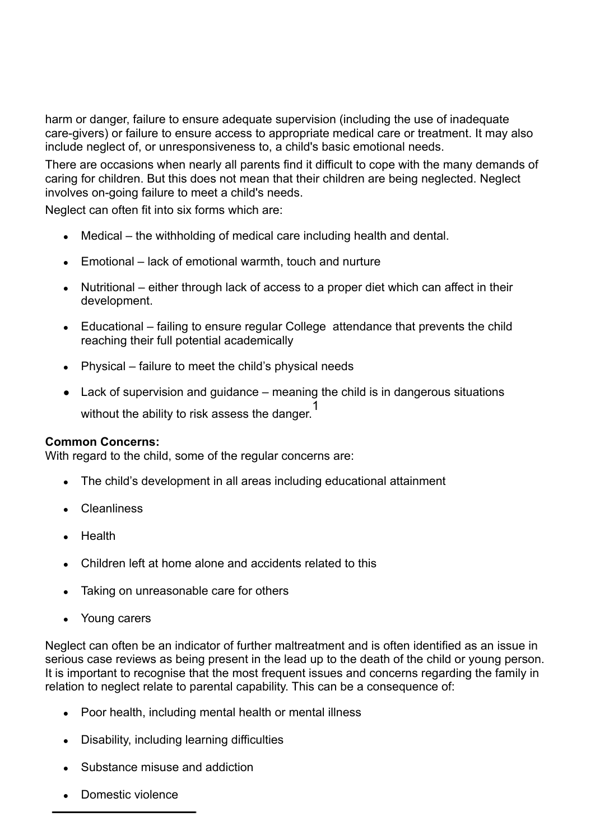harm or danger, failure to ensure adequate supervision (including the use of inadequate care-givers) or failure to ensure access to appropriate medical care or treatment. It may also include neglect of, or unresponsiveness to, a child's basic emotional needs.

There are occasions when nearly all parents find it difficult to cope with the many demands of caring for children. But this does not mean that their children are being neglected. Neglect involves on-going failure to meet a child's needs.

Neglect can often fit into six forms which are:

- $\bullet$  Medical the withholding of medical care including health and dental.
- $\bullet$  Emotional lack of emotional warmth, touch and nurture
- Nutritional either through lack of access to a proper diet which can affect in their development.
- Educational failing to ensure regular College attendance that prevents the child reaching their full potential academically
- $\bullet$  Physical failure to meet the child's physical needs
- Lack of supervision and guidance meaning the child is in dangerous situations without the ability to risk assess the danger. 1

#### **Common Concerns:**

With regard to the child, some of the regular concerns are:

- The child's development in all areas including educational attainment
- Cleanliness
- Health
- Children left at home alone and accidents related to this
- Taking on unreasonable care for others
- Young carers

Neglect can often be an indicator of further maltreatment and is often identified as an issue in serious case reviews as being present in the lead up to the death of the child or young person. It is important to recognise that the most frequent issues and concerns regarding the family in relation to neglect relate to parental capability. This can be a consequence of:

- Poor health, including mental health or mental illness
- Disability, including learning difficulties
- Substance misuse and addiction
- Domestic violence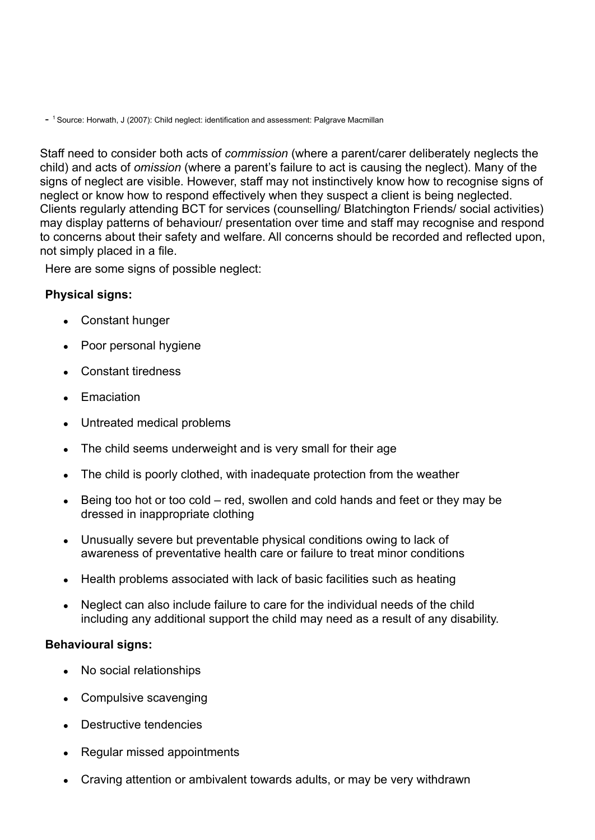- <sup>1</sup> Source: Horwath, J (2007): Child neglect: identification and assessment: Palgrave Macmillan

Staff need to consider both acts of *commission* (where a parent/carer deliberately neglects the child) and acts of *omission* (where a parent's failure to act is causing the neglect). Many of the signs of neglect are visible. However, staff may not instinctively know how to recognise signs of neglect or know how to respond effectively when they suspect a client is being neglected. Clients regularly attending BCT for services (counselling/ Blatchington Friends/ social activities) may display patterns of behaviour/ presentation over time and staff may recognise and respond to concerns about their safety and welfare. All concerns should be recorded and reflected upon, not simply placed in a file.

Here are some signs of possible neglect:

#### **Physical signs:**

- Constant hunger
- Poor personal hygiene
- Constant tiredness
- Emaciation
- Untreated medical problems
- The child seems underweight and is very small for their age
- The child is poorly clothed, with inadequate protection from the weather
- $\bullet$  Being too hot or too cold red, swollen and cold hands and feet or they may be dressed in inappropriate clothing
- Unusually severe but preventable physical conditions owing to lack of awareness of preventative health care or failure to treat minor conditions
- Health problems associated with lack of basic facilities such as heating
- Neglect can also include failure to care for the individual needs of the child including any additional support the child may need as a result of any disability.

#### **Behavioural signs:**

- No social relationships
- Compulsive scavenging
- Destructive tendencies
- Regular missed appointments
- Craving attention or ambivalent towards adults, or may be very withdrawn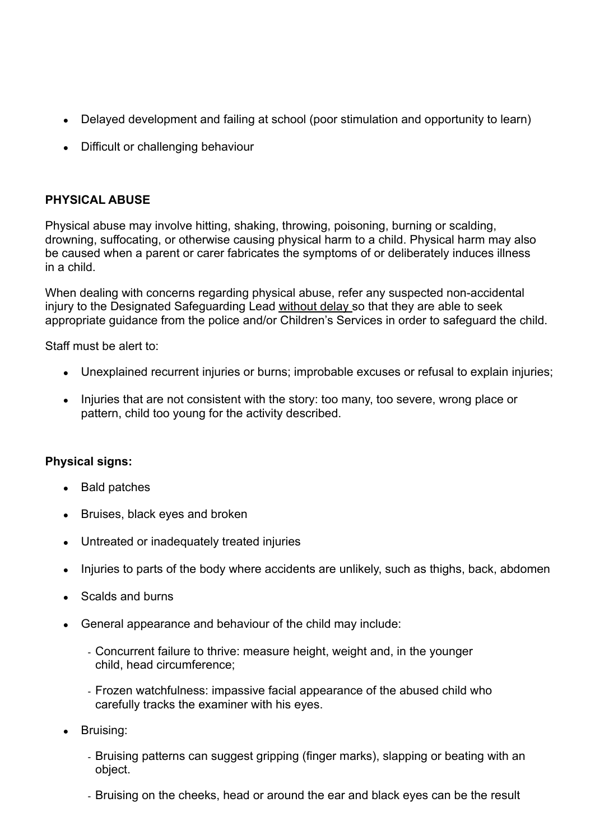- Delayed development and failing at school (poor stimulation and opportunity to learn)
- Difficult or challenging behaviour

### **PHYSICAL ABUSE**

Physical abuse may involve hitting, shaking, throwing, poisoning, burning or scalding, drowning, suffocating, or otherwise causing physical harm to a child. Physical harm may also be caused when a parent or carer fabricates the symptoms of or deliberately induces illness in a child.

When dealing with concerns regarding physical abuse, refer any suspected non-accidental injury to the Designated Safeguarding Lead without delay so that they are able to seek appropriate guidance from the police and/or Children's Services in order to safeguard the child.

Staff must be alert to:

- Unexplained recurrent injuries or burns; improbable excuses or refusal to explain injuries;
- Injuries that are not consistent with the story: too many, too severe, wrong place or pattern, child too young for the activity described.

#### **Physical signs:**

- Bald patches
- Bruises, black eyes and broken
- Untreated or inadequately treated injuries
- Injuries to parts of the body where accidents are unlikely, such as thighs, back, abdomen
- Scalds and burns
- General appearance and behaviour of the child may include:
	- Concurrent failure to thrive: measure height, weight and, in the younger child, head circumference;
	- Frozen watchfulness: impassive facial appearance of the abused child who carefully tracks the examiner with his eyes.
- Bruising:
	- Bruising patterns can suggest gripping (finger marks), slapping or beating with an object.
	- Bruising on the cheeks, head or around the ear and black eyes can be the result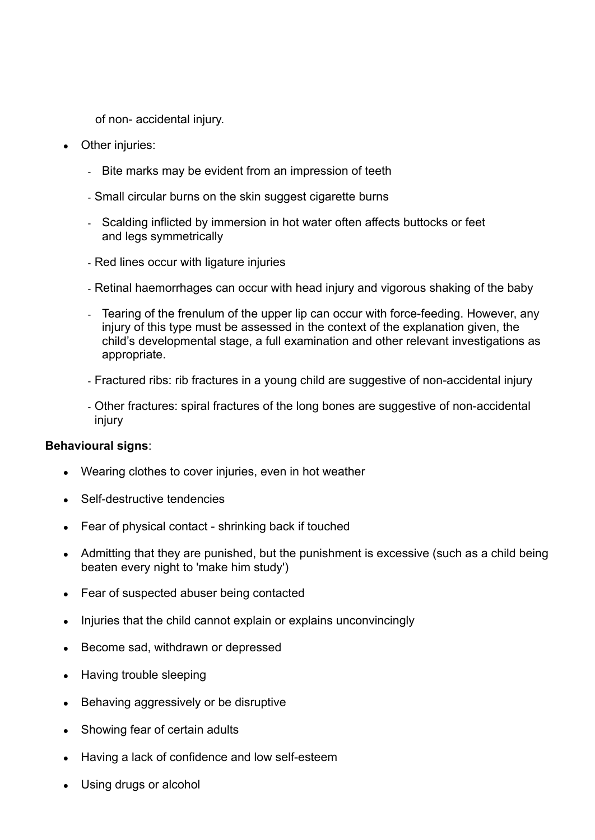of non- accidental injury.

- Other injuries:
	- Bite marks may be evident from an impression of teeth
	- Small circular burns on the skin suggest cigarette burns
	- Scalding inflicted by immersion in hot water often affects buttocks or feet and legs symmetrically
	- Red lines occur with ligature injuries
	- Retinal haemorrhages can occur with head injury and vigorous shaking of the baby
	- Tearing of the frenulum of the upper lip can occur with force-feeding. However, any injury of this type must be assessed in the context of the explanation given, the child's developmental stage, a full examination and other relevant investigations as appropriate.
	- Fractured ribs: rib fractures in a young child are suggestive of non-accidental injury
	- Other fractures: spiral fractures of the long bones are suggestive of non-accidental injury

#### **Behavioural signs**:

- Wearing clothes to cover injuries, even in hot weather
- Self-destructive tendencies
- Fear of physical contact shrinking back if touched
- Admitting that they are punished, but the punishment is excessive (such as a child being beaten every night to 'make him study')
- Fear of suspected abuser being contacted
- Injuries that the child cannot explain or explains unconvincingly
- Become sad, withdrawn or depressed
- Having trouble sleeping
- Behaving aggressively or be disruptive
- Showing fear of certain adults
- Having a lack of confidence and low self-esteem
- Using drugs or alcohol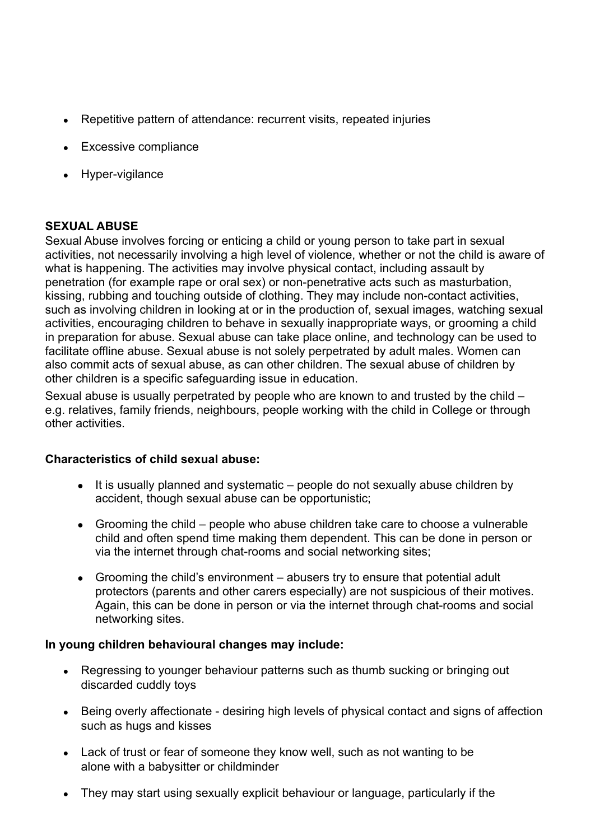- Repetitive pattern of attendance: recurrent visits, repeated injuries
- Excessive compliance
- Hyper-vigilance

## **SEXUAL ABUSE**

Sexual Abuse involves forcing or enticing a child or young person to take part in sexual activities, not necessarily involving a high level of violence, whether or not the child is aware of what is happening. The activities may involve physical contact, including assault by penetration (for example rape or oral sex) or non-penetrative acts such as masturbation, kissing, rubbing and touching outside of clothing. They may include non-contact activities, such as involving children in looking at or in the production of, sexual images, watching sexual activities, encouraging children to behave in sexually inappropriate ways, or grooming a child in preparation for abuse. Sexual abuse can take place online, and technology can be used to facilitate offline abuse. Sexual abuse is not solely perpetrated by adult males. Women can also commit acts of sexual abuse, as can other children. The sexual abuse of children by other children is a specific safeguarding issue in education.

Sexual abuse is usually perpetrated by people who are known to and trusted by the child – e.g. relatives, family friends, neighbours, people working with the child in College or through other activities.

#### **Characteristics of child sexual abuse:**

- It is usually planned and systematic people do not sexually abuse children by accident, though sexual abuse can be opportunistic;
- Grooming the child people who abuse children take care to choose a vulnerable child and often spend time making them dependent. This can be done in person or via the internet through chat-rooms and social networking sites;
- Grooming the child's environment abusers try to ensure that potential adult protectors (parents and other carers especially) are not suspicious of their motives. Again, this can be done in person or via the internet through chat-rooms and social networking sites.

#### **In young children behavioural changes may include:**

- Regressing to younger behaviour patterns such as thumb sucking or bringing out discarded cuddly toys
- Being overly affectionate desiring high levels of physical contact and signs of affection such as hugs and kisses
- Lack of trust or fear of someone they know well, such as not wanting to be alone with a babysitter or childminder
- They may start using sexually explicit behaviour or language, particularly if the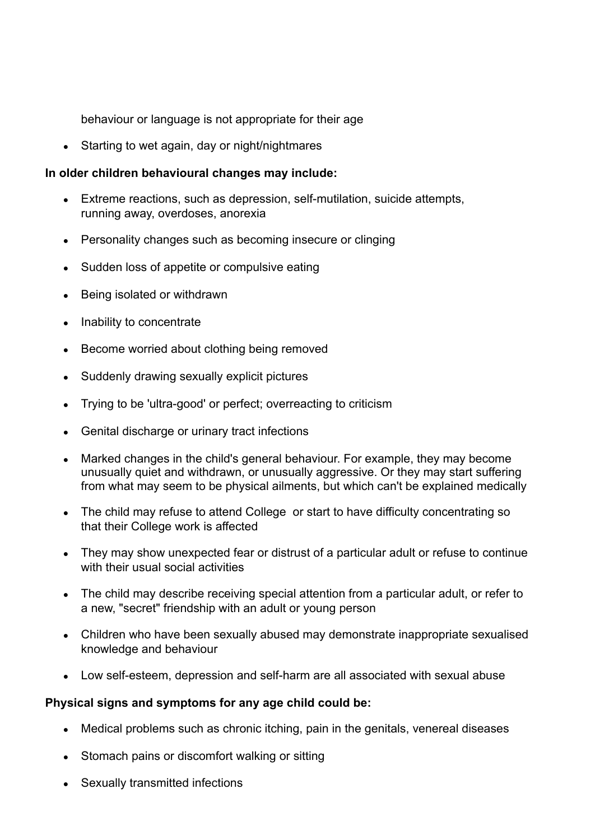behaviour or language is not appropriate for their age

• Starting to wet again, day or night/nightmares

## **In older children behavioural changes may include:**

- Extreme reactions, such as depression, self-mutilation, suicide attempts, running away, overdoses, anorexia
- Personality changes such as becoming insecure or clinging
- Sudden loss of appetite or compulsive eating
- Being isolated or withdrawn
- Inability to concentrate
- Become worried about clothing being removed
- Suddenly drawing sexually explicit pictures
- Trying to be 'ultra-good' or perfect; overreacting to criticism
- Genital discharge or urinary tract infections
- Marked changes in the child's general behaviour. For example, they may become unusually quiet and withdrawn, or unusually aggressive. Or they may start suffering from what may seem to be physical ailments, but which can't be explained medically
- The child may refuse to attend College or start to have difficulty concentrating so that their College work is affected
- They may show unexpected fear or distrust of a particular adult or refuse to continue with their usual social activities
- The child may describe receiving special attention from a particular adult, or refer to a new, "secret" friendship with an adult or young person
- Children who have been sexually abused may demonstrate inappropriate sexualised knowledge and behaviour
- Low self-esteem, depression and self-harm are all associated with sexual abuse

#### **Physical signs and symptoms for any age child could be:**

- Medical problems such as chronic itching, pain in the genitals, venereal diseases
- Stomach pains or discomfort walking or sitting
- Sexually transmitted infections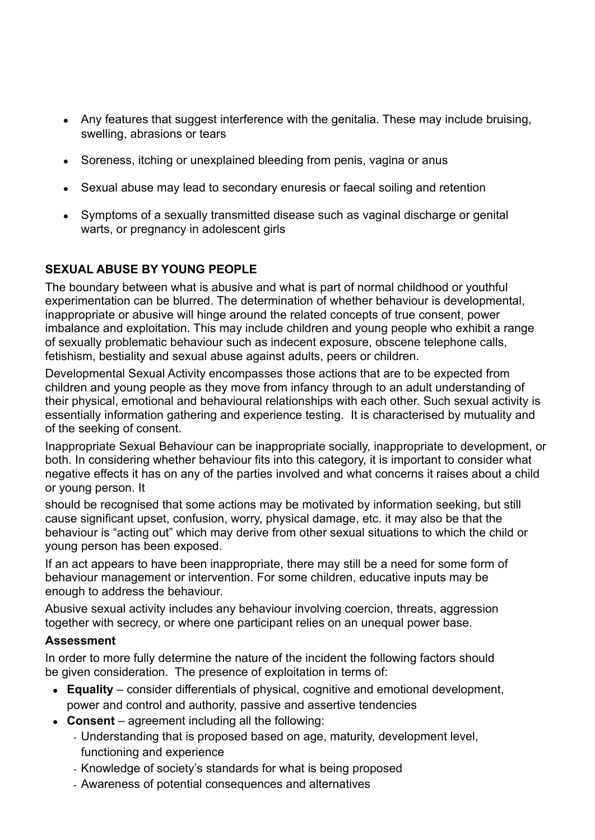- Any features that suggest interference with the genitalia. These may include bruising, swelling, abrasions or tears
- Soreness, itching or unexplained bleeding from penis, vagina or anus
- Sexual abuse may lead to secondary enuresis or faecal soiling and retention
- Symptoms of a sexually transmitted disease such as vaginal discharge or genital warts, or pregnancy in adolescent girls

## **SEXUAL ABUSE BY YOUNG PEOPLE**

The boundary between what is abusive and what is part of normal childhood or youthful experimentation can be blurred. The determination of whether behaviour is developmental, inappropriate or abusive will hinge around the related concepts of true consent, power imbalance and exploitation. This may include children and young people who exhibit a range of sexually problematic behaviour such as indecent exposure, obscene telephone calls, fetishism, bestiality and sexual abuse against adults, peers or children.

Developmental Sexual Activity encompasses those actions that are to be expected from children and young people as they move from infancy through to an adult understanding of their physical, emotional and behavioural relationships with each other. Such sexual activity is essentially information gathering and experience testing. It is characterised by mutuality and of the seeking of consent.

Inappropriate Sexual Behaviour can be inappropriate socially, inappropriate to development, or both. In considering whether behaviour fits into this category, it is important to consider what negative effects it has on any of the parties involved and what concerns it raises about a child or young person. It

should be recognised that some actions may be motivated by information seeking, but still cause significant upset, confusion, worry, physical damage, etc. it may also be that the behaviour is "acting out" which may derive from other sexual situations to which the child or young person has been exposed.

If an act appears to have been inappropriate, there may still be a need for some form of behaviour management or intervention. For some children, educative inputs may be enough to address the behaviour.

Abusive sexual activity includes any behaviour involving coercion, threats, aggression together with secrecy, or where one participant relies on an unequal power base.

#### **Assessment**

In order to more fully determine the nature of the incident the following factors should be given consideration. The presence of exploitation in terms of:

- **Equality** consider differentials of physical, cognitive and emotional development, power and control and authority, passive and assertive tendencies
- **Consent** agreement including all the following:
	- Understanding that is proposed based on age, maturity, development level, functioning and experience
	- Knowledge of society's standards for what is being proposed
	- Awareness of potential consequences and alternatives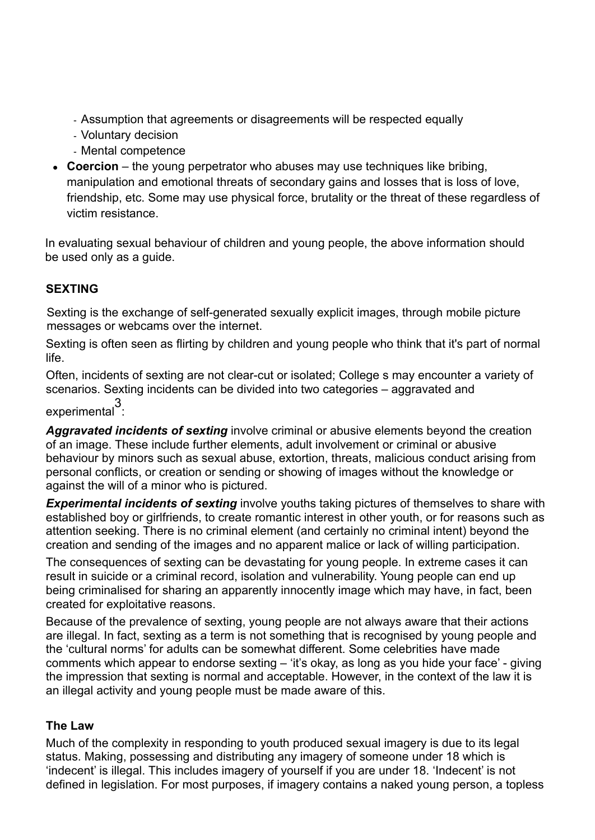- Assumption that agreements or disagreements will be respected equally
- Voluntary decision
- Mental competence
- **Coercion** the young perpetrator who abuses may use techniques like bribing, manipulation and emotional threats of secondary gains and losses that is loss of love, friendship, etc. Some may use physical force, brutality or the threat of these regardless of victim resistance.

In evaluating sexual behaviour of children and young people, the above information should be used only as a quide.

## **SEXTING**

Sexting is the exchange of self-generated sexually explicit images, through mobile picture messages or webcams over the internet.

Sexting is often seen as flirting by children and young people who think that it's part of normal life.

Often, incidents of sexting are not clear-cut or isolated; College s may encounter a variety of scenarios. Sexting incidents can be divided into two categories – aggravated and

experimental<sup>3</sup>:

*Aggravated incidents of sexting* involve criminal or abusive elements beyond the creation of an image. These include further elements, adult involvement or criminal or abusive behaviour by minors such as sexual abuse, extortion, threats, malicious conduct arising from personal conflicts, or creation or sending or showing of images without the knowledge or against the will of a minor who is pictured.

**Experimental incidents of sexting** involve youths taking pictures of themselves to share with established boy or girlfriends, to create romantic interest in other youth, or for reasons such as attention seeking. There is no criminal element (and certainly no criminal intent) beyond the creation and sending of the images and no apparent malice or lack of willing participation.

The consequences of sexting can be devastating for young people. In extreme cases it can result in suicide or a criminal record, isolation and vulnerability. Young people can end up being criminalised for sharing an apparently innocently image which may have, in fact, been created for exploitative reasons.

Because of the prevalence of sexting, young people are not always aware that their actions are illegal. In fact, sexting as a term is not something that is recognised by young people and the 'cultural norms' for adults can be somewhat different. Some celebrities have made comments which appear to endorse sexting – 'it's okay, as long as you hide your face' - giving the impression that sexting is normal and acceptable. However, in the context of the law it is an illegal activity and young people must be made aware of this.

#### **The Law**

Much of the complexity in responding to youth produced sexual imagery is due to its legal status. Making, possessing and distributing any imagery of someone under 18 which is 'indecent' is illegal. This includes imagery of yourself if you are under 18. 'Indecent' is not defined in legislation. For most purposes, if imagery contains a naked young person, a topless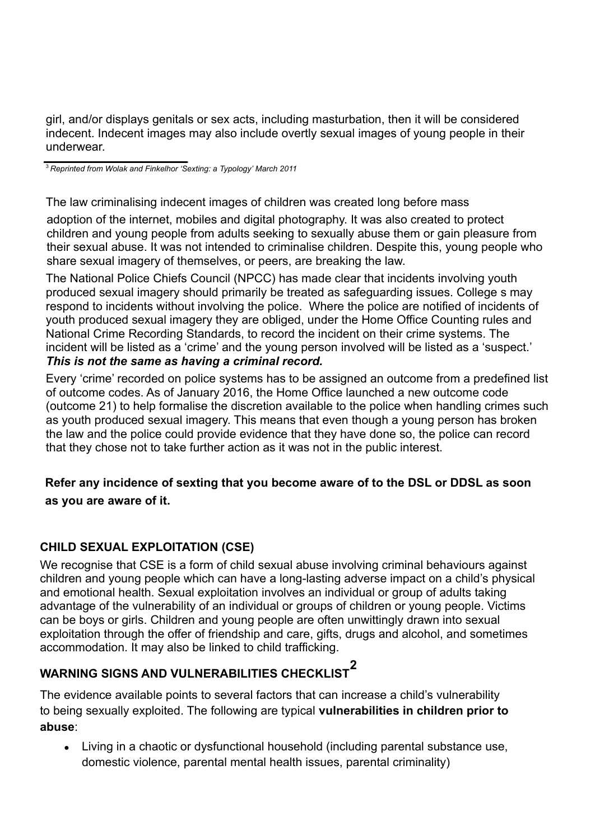girl, and/or displays genitals or sex acts, including masturbation, then it will be considered indecent. Indecent images may also include overtly sexual images of young people in their underwear.

<sup>3</sup> *Reprinted from Wolak and Finkelhor 'Sexting: a Typology' March 2011*

The law criminalising indecent images of children was created long before mass

adoption of the internet, mobiles and digital photography. It was also created to protect children and young people from adults seeking to sexually abuse them or gain pleasure from their sexual abuse. It was not intended to criminalise children. Despite this, young people who share sexual imagery of themselves, or peers, are breaking the law.

The National Police Chiefs Council (NPCC) has made clear that incidents involving youth produced sexual imagery should primarily be treated as safeguarding issues. College s may respond to incidents without involving the police. Where the police are notified of incidents of youth produced sexual imagery they are obliged, under the Home Office Counting rules and National Crime Recording Standards, to record the incident on their crime systems. The incident will be listed as a 'crime' and the young person involved will be listed as a 'suspect.' *This is not the same as having a criminal record.*

Every 'crime' recorded on police systems has to be assigned an outcome from a predefined list of outcome codes. As of January 2016, the Home Office launched a new outcome code (outcome 21) to help formalise the discretion available to the police when handling crimes such as youth produced sexual imagery. This means that even though a young person has broken the law and the police could provide evidence that they have done so, the police can record that they chose not to take further action as it was not in the public interest.

## **Refer any incidence of sexting that you become aware of to the DSL or DDSL as soon as you are aware of it.**

## **CHILD SEXUAL EXPLOITATION (CSE)**

We recognise that CSE is a form of child sexual abuse involving criminal behaviours against children and young people which can have a long-lasting adverse impact on a child's physical and emotional health. Sexual exploitation involves an individual or group of adults taking advantage of the vulnerability of an individual or groups of children or young people. Victims can be boys or girls. Children and young people are often unwittingly drawn into sexual exploitation through the offer of friendship and care, gifts, drugs and alcohol, and sometimes accommodation. It may also be linked to child trafficking.

## **WARNING SIGNS AND VULNERABILITIES CHECKLIST<sup>2</sup>**

The evidence available points to several factors that can increase a child's vulnerability to being sexually exploited. The following are typical **vulnerabilities in children prior to abuse**:

• Living in a chaotic or dysfunctional household (including parental substance use, domestic violence, parental mental health issues, parental criminality)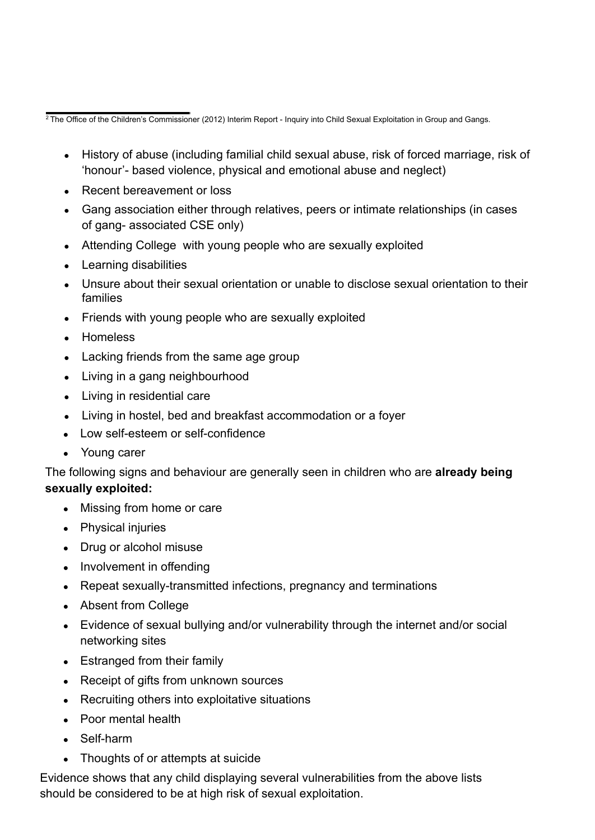<sup>2</sup> The Office of the Children's Commissioner (2012) Interim Report - Inquiry into Child Sexual Exploitation in Group and Gangs.

- History of abuse (including familial child sexual abuse, risk of forced marriage, risk of 'honour'- based violence, physical and emotional abuse and neglect)
- Recent bereavement or loss
- Gang association either through relatives, peers or intimate relationships (in cases of gang- associated CSE only)
- Attending College with young people who are sexually exploited
- Learning disabilities
- Unsure about their sexual orientation or unable to disclose sexual orientation to their families
- Friends with young people who are sexually exploited
- Homeless
- Lacking friends from the same age group
- Living in a gang neighbourhood
- Living in residential care
- Living in hostel, bed and breakfast accommodation or a foyer
- Low self-esteem or self-confidence
- Young carer

The following signs and behaviour are generally seen in children who are **already being sexually exploited:**

- Missing from home or care
- Physical injuries
- Drug or alcohol misuse
- Involvement in offending
- Repeat sexually-transmitted infections, pregnancy and terminations
- Absent from College
- Evidence of sexual bullying and/or vulnerability through the internet and/or social networking sites
- Estranged from their family
- Receipt of gifts from unknown sources
- Recruiting others into exploitative situations
- Poor mental health
- Self-harm
- Thoughts of or attempts at suicide

Evidence shows that any child displaying several vulnerabilities from the above lists should be considered to be at high risk of sexual exploitation.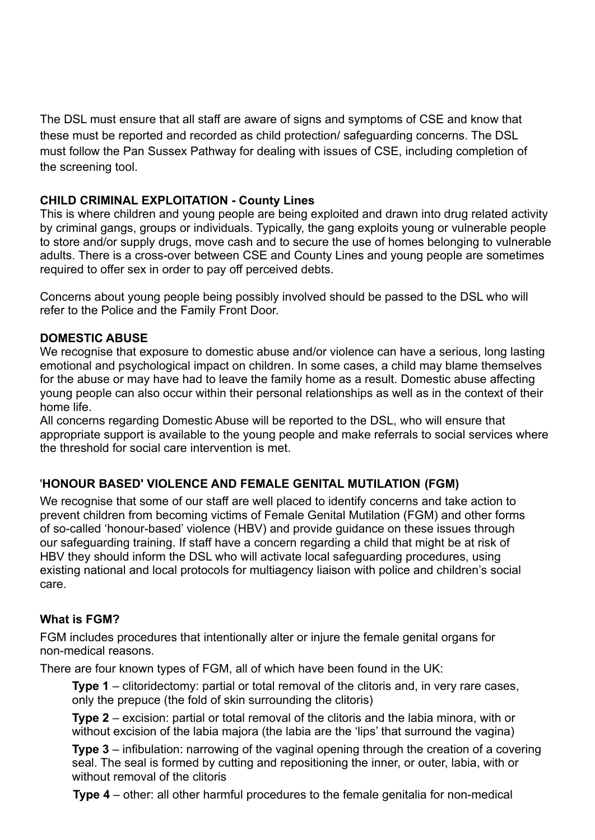The DSL must ensure that all staff are aware of signs and symptoms of CSE and know that these must be reported and recorded as child protection/ safeguarding concerns. The DSL must follow the Pan Sussex Pathway for dealing with issues of CSE, including completion of the screening tool.

### **CHILD CRIMINAL EXPLOITATION - County Lines**

This is where children and young people are being exploited and drawn into drug related activity by criminal gangs, groups or individuals. Typically, the gang exploits young or vulnerable people to store and/or supply drugs, move cash and to secure the use of homes belonging to vulnerable adults. There is a cross-over between CSE and County Lines and young people are sometimes required to offer sex in order to pay off perceived debts.

Concerns about young people being possibly involved should be passed to the DSL who will refer to the Police and the Family Front Door.

#### **DOMESTIC ABUSE**

We recognise that exposure to domestic abuse and/or violence can have a serious, long lasting emotional and psychological impact on children. In some cases, a child may blame themselves for the abuse or may have had to leave the family home as a result. Domestic abuse affecting young people can also occur within their personal relationships as well as in the context of their home life.

All concerns regarding Domestic Abuse will be reported to the DSL, who will ensure that appropriate support is available to the young people and make referrals to social services where the threshold for social care intervention is met.

## '**HONOUR BASED' VIOLENCE AND FEMALE GENITAL MUTILATION (FGM)**

We recognise that some of our staff are well placed to identify concerns and take action to prevent children from becoming victims of Female Genital Mutilation (FGM) and other forms of so-called 'honour-based' violence (HBV) and provide guidance on these issues through our safeguarding training. If staff have a concern regarding a child that might be at risk of HBV they should inform the DSL who will activate local safeguarding procedures, using existing national and local protocols for multiagency liaison with police and children's social care.

#### **What is FGM?**

FGM includes procedures that intentionally alter or injure the female genital organs for non-medical reasons.

There are four known types of FGM, all of which have been found in the UK:

**Type 1** – clitoridectomy: partial or total removal of the clitoris and, in very rare cases, only the prepuce (the fold of skin surrounding the clitoris)

**Type 2** – excision: partial or total removal of the clitoris and the labia minora, with or without excision of the labia majora (the labia are the 'lips' that surround the vagina)

**Type 3** – infibulation: narrowing of the vaginal opening through the creation of a covering seal. The seal is formed by cutting and repositioning the inner, or outer, labia, with or without removal of the clitoris

**Type 4** – other: all other harmful procedures to the female genitalia for non-medical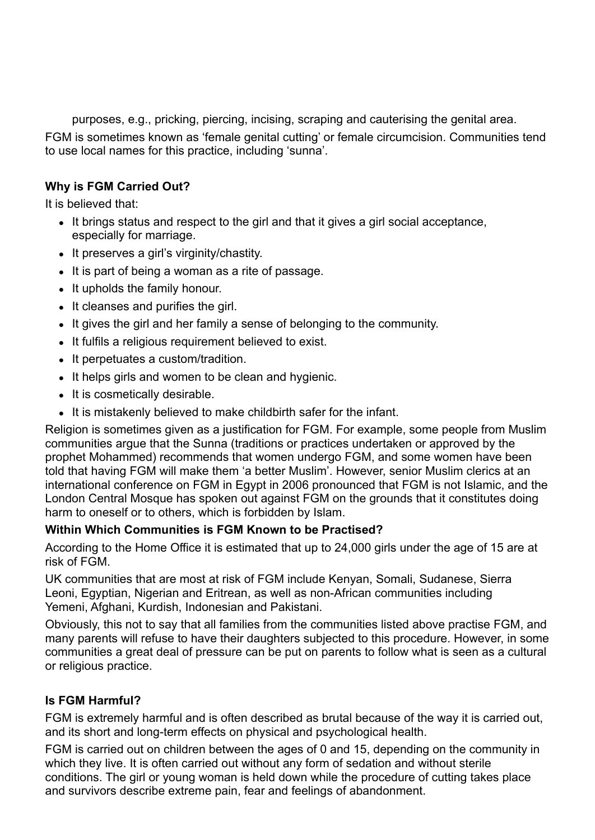purposes, e.g., pricking, piercing, incising, scraping and cauterising the genital area.

FGM is sometimes known as 'female genital cutting' or female circumcision. Communities tend to use local names for this practice, including 'sunna'.

## **Why is FGM Carried Out?**

It is believed that:

- It brings status and respect to the girl and that it gives a girl social acceptance, especially for marriage.
- It preserves a girl's virginity/chastity.
- It is part of being a woman as a rite of passage.
- It upholds the family honour.
- It cleanses and purifies the girl.
- It gives the girl and her family a sense of belonging to the community.
- It fulfils a religious requirement believed to exist.
- It perpetuates a custom/tradition.
- It helps girls and women to be clean and hygienic.
- It is cosmetically desirable.
- It is mistakenly believed to make childbirth safer for the infant.

Religion is sometimes given as a justification for FGM. For example, some people from Muslim communities argue that the Sunna (traditions or practices undertaken or approved by the prophet Mohammed) recommends that women undergo FGM, and some women have been told that having FGM will make them 'a better Muslim'. However, senior Muslim clerics at an international conference on FGM in Egypt in 2006 pronounced that FGM is not Islamic, and the London Central Mosque has spoken out against FGM on the grounds that it constitutes doing harm to oneself or to others, which is forbidden by Islam.

#### **Within Which Communities is FGM Known to be Practised?**

According to the Home Office it is estimated that up to 24,000 girls under the age of 15 are at risk of FGM.

UK communities that are most at risk of FGM include Kenyan, Somali, Sudanese, Sierra Leoni, Egyptian, Nigerian and Eritrean, as well as non-African communities including Yemeni, Afghani, Kurdish, Indonesian and Pakistani.

Obviously, this not to say that all families from the communities listed above practise FGM, and many parents will refuse to have their daughters subjected to this procedure. However, in some communities a great deal of pressure can be put on parents to follow what is seen as a cultural or religious practice.

## **Is FGM Harmful?**

FGM is extremely harmful and is often described as brutal because of the way it is carried out, and its short and long-term effects on physical and psychological health.

FGM is carried out on children between the ages of 0 and 15, depending on the community in which they live. It is often carried out without any form of sedation and without sterile conditions. The girl or young woman is held down while the procedure of cutting takes place and survivors describe extreme pain, fear and feelings of abandonment.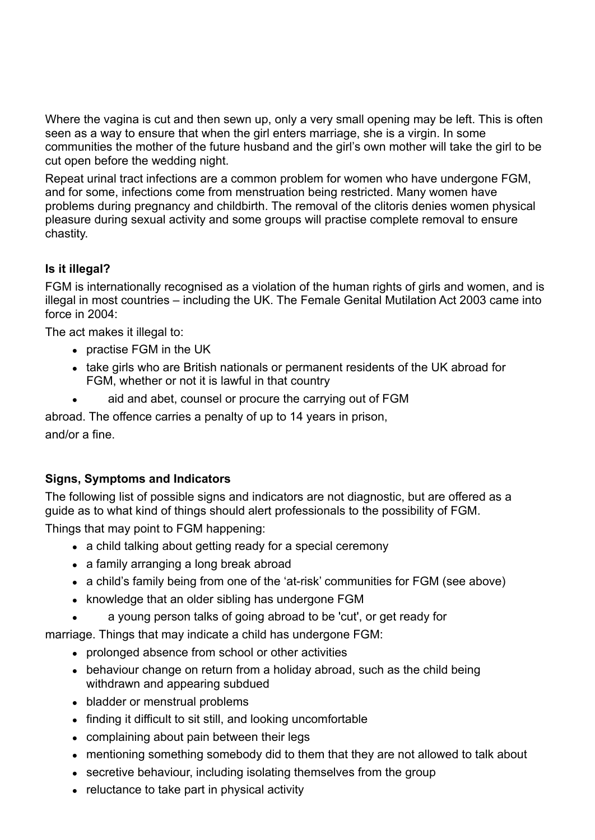Where the vagina is cut and then sewn up, only a very small opening may be left. This is often seen as a way to ensure that when the girl enters marriage, she is a virgin. In some communities the mother of the future husband and the girl's own mother will take the girl to be cut open before the wedding night.

Repeat urinal tract infections are a common problem for women who have undergone FGM, and for some, infections come from menstruation being restricted. Many women have problems during pregnancy and childbirth. The removal of the clitoris denies women physical pleasure during sexual activity and some groups will practise complete removal to ensure chastity.

## **Is it illegal?**

FGM is internationally recognised as a violation of the human rights of girls and women, and is illegal in most countries – including the UK. The Female Genital Mutilation Act 2003 came into force in 2004:

The act makes it illegal to:

- practise FGM in the UK
- take girls who are British nationals or permanent residents of the UK abroad for FGM, whether or not it is lawful in that country
- aid and abet, counsel or procure the carrying out of FGM

abroad. The offence carries a penalty of up to 14 years in prison,

and/or a fine.

## **Signs, Symptoms and Indicators**

The following list of possible signs and indicators are not diagnostic, but are offered as a guide as to what kind of things should alert professionals to the possibility of FGM.

Things that may point to FGM happening:

- a child talking about getting ready for a special ceremony
- a family arranging a long break abroad
- a child's family being from one of the 'at-risk' communities for FGM (see above)
- knowledge that an older sibling has undergone FGM
- a young person talks of going abroad to be 'cut', or get ready for

marriage. Things that may indicate a child has undergone FGM:

- prolonged absence from school or other activities
- behaviour change on return from a holiday abroad, such as the child being withdrawn and appearing subdued
- bladder or menstrual problems
- finding it difficult to sit still, and looking uncomfortable
- complaining about pain between their legs
- mentioning something somebody did to them that they are not allowed to talk about
- secretive behaviour, including isolating themselves from the group
- reluctance to take part in physical activity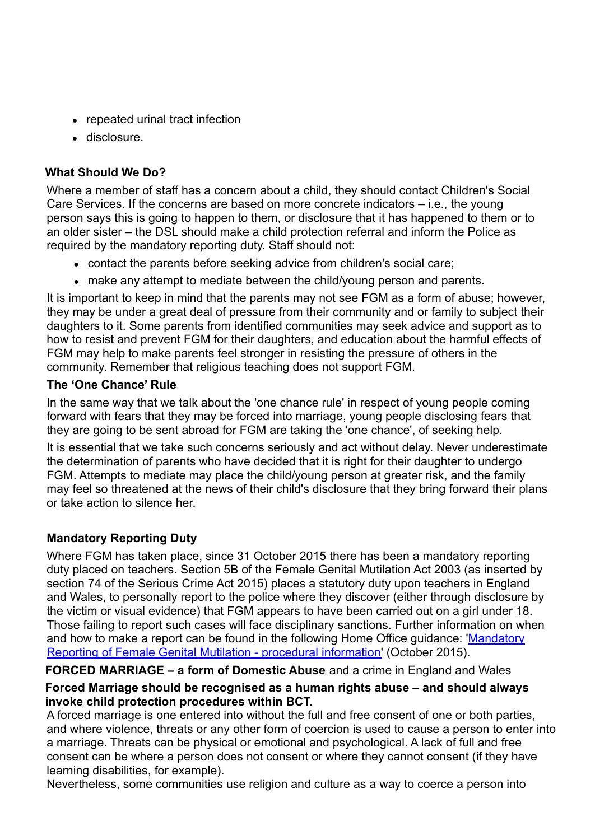- repeated urinal tract infection
- disclosure.

## **What Should We Do?**

Where a member of staff has a concern about a child, they should contact Children's Social Care Services. If the concerns are based on more concrete indicators – i.e., the young person says this is going to happen to them, or disclosure that it has happened to them or to an older sister – the DSL should make a child protection referral and inform the Police as required by the mandatory reporting duty. Staff should not:

- contact the parents before seeking advice from children's social care;
- make any attempt to mediate between the child/young person and parents.

It is important to keep in mind that the parents may not see FGM as a form of abuse; however, they may be under a great deal of pressure from their community and or family to subject their daughters to it. Some parents from identified communities may seek advice and support as to how to resist and prevent FGM for their daughters, and education about the harmful effects of FGM may help to make parents feel stronger in resisting the pressure of others in the community. Remember that religious teaching does not support FGM.

## **The 'One Chance' Rule**

In the same way that we talk about the 'one chance rule' in respect of young people coming forward with fears that they may be forced into marriage, young people disclosing fears that they are going to be sent abroad for FGM are taking the 'one chance', of seeking help.

It is essential that we take such concerns seriously and act without delay. Never underestimate the determination of parents who have decided that it is right for their daughter to undergo FGM. Attempts to mediate may place the child/young person at greater risk, and the family may feel so threatened at the news of their child's disclosure that they bring forward their plans or take action to silence her.

## **Mandatory Reporting Duty**

Where FGM has taken place, since 31 October 2015 there has been a mandatory reporting duty placed on teachers. Section 5B of the Female Genital Mutilation Act 2003 (as inserted by section 74 of the Serious Crime Act 2015) places a statutory duty upon teachers in England and Wales, to personally report to the police where they discover (either through disclosure by the victim or visual evidence) that FGM appears to have been carried out on a girl under 18. Those failing to report such cases will face disciplinary sanctions. Further information on when and how to make a report can be found in the following Home Office guidance: ['Mandatory](https://www.gov.uk/government/uploads/system/uploads/attachment_data/file/469448/FGM-Mandatory-Reporting-procedural-info-FINAL.pdf) [Reporting of Female Genital Mutilation -](https://www.gov.uk/government/uploads/system/uploads/attachment_data/file/469448/FGM-Mandatory-Reporting-procedural-info-FINAL.pdf) procedural [information'](https://www.gov.uk/government/uploads/system/uploads/attachment_data/file/469448/FGM-Mandatory-Reporting-procedural-info-FINAL.pdf) (October 2015).

**FORCED MARRIAGE – a form of Domestic Abuse** and a crime in England and Wales

## **Forced Marriage should be recognised as a human rights abuse – and should always invoke child protection procedures within BCT.**

A forced marriage is one entered into without the full and free consent of one or both parties, and where violence, threats or any other form of coercion is used to cause a person to enter into a marriage. Threats can be physical or emotional and psychological. A lack of full and free consent can be where a person does not consent or where they cannot consent (if they have learning disabilities, for example).

Nevertheless, some communities use religion and culture as a way to coerce a person into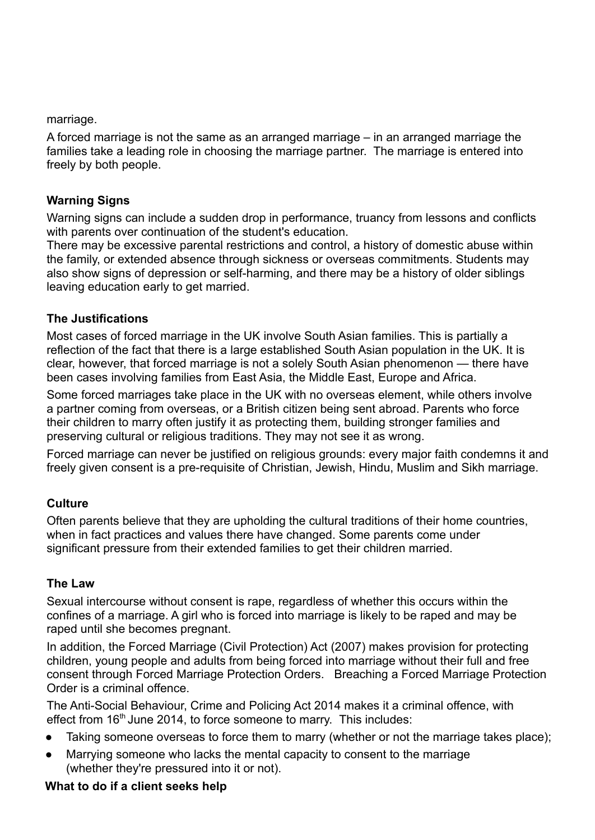marriage.

A forced marriage is not the same as an arranged marriage – in an arranged marriage the families take a leading role in choosing the marriage partner. The marriage is entered into freely by both people.

#### **Warning Signs**

Warning signs can include a sudden drop in performance, truancy from lessons and conflicts with parents over continuation of the student's education.

There may be excessive parental restrictions and control, a history of domestic abuse within the family, or extended absence through sickness or overseas commitments. Students may also show signs of depression or self-harming, and there may be a history of older siblings leaving education early to get married.

#### **The Justifications**

Most cases of forced marriage in the UK involve South Asian families. This is partially a reflection of the fact that there is a large established South Asian population in the UK. It is clear, however, that forced marriage is not a solely South Asian phenomenon — there have been cases involving families from East Asia, the Middle East, Europe and Africa.

Some forced marriages take place in the UK with no overseas element, while others involve a partner coming from overseas, or a British citizen being sent abroad. Parents who force their children to marry often justify it as protecting them, building stronger families and preserving cultural or religious traditions. They may not see it as wrong.

Forced marriage can never be justified on religious grounds: every major faith condemns it and freely given consent is a pre-requisite of Christian, Jewish, Hindu, Muslim and Sikh marriage.

#### **Culture**

Often parents believe that they are upholding the cultural traditions of their home countries, when in fact practices and values there have changed. Some parents come under significant pressure from their extended families to get their children married.

#### **The Law**

Sexual intercourse without consent is rape, regardless of whether this occurs within the confines of a marriage. A girl who is forced into marriage is likely to be raped and may be raped until she becomes pregnant.

In addition, the Forced Marriage (Civil Protection) Act (2007) makes provision for protecting children, young people and adults from being forced into marriage without their full and free consent through Forced Marriage Protection Orders. Breaching a Forced Marriage Protection Order is a criminal offence.

The Anti-Social Behaviour, Crime and Policing Act 2014 makes it a criminal offence, with effect from 16<sup>th</sup> June 2014, to force someone to marry. This includes:

- Taking someone overseas to force them to marry (whether or not the marriage takes place);
- Marrying someone who lacks the mental capacity to consent to the marriage (whether they're pressured into it or not).

#### **What to do if a client seeks help**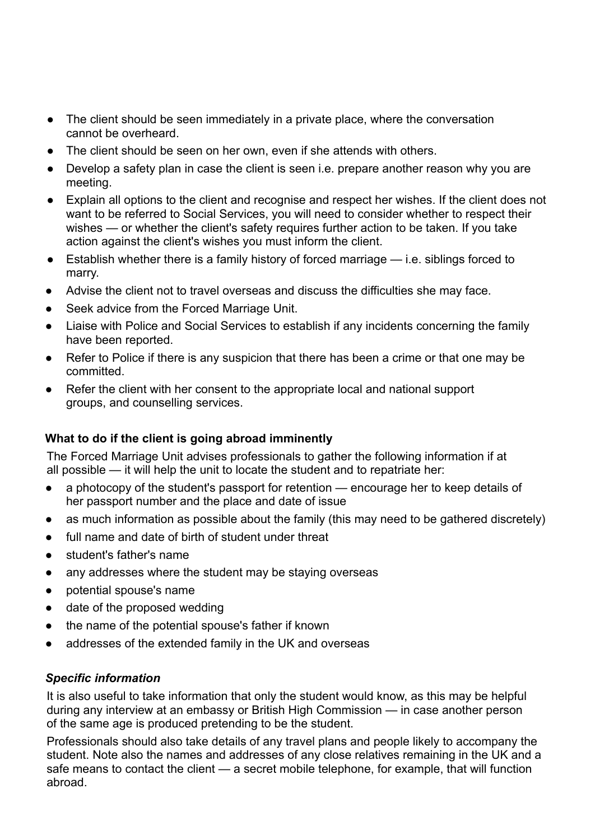- The client should be seen immediately in a private place, where the conversation cannot be overheard.
- The client should be seen on her own, even if she attends with others.
- Develop a safety plan in case the client is seen i.e. prepare another reason why you are meeting.
- Explain all options to the client and recognise and respect her wishes. If the client does not want to be referred to Social Services, you will need to consider whether to respect their wishes — or whether the client's safety requires further action to be taken. If you take action against the client's wishes you must inform the client.
- Establish whether there is a family history of forced marriage i.e. siblings forced to marry.
- Advise the client not to travel overseas and discuss the difficulties she may face.
- Seek advice from the Forced Marriage Unit.
- Liaise with Police and Social Services to establish if any incidents concerning the family have been reported.
- Refer to Police if there is any suspicion that there has been a crime or that one may be committed.
- Refer the client with her consent to the appropriate local and national support groups, and counselling services.

## **What to do if the client is going abroad imminently**

The Forced Marriage Unit advises professionals to gather the following information if at all possible — it will help the unit to locate the student and to repatriate her:

- a photocopy of the student's passport for retention encourage her to keep details of her passport number and the place and date of issue
- as much information as possible about the family (this may need to be gathered discretely)
- full name and date of birth of student under threat
- student's father's name
- any addresses where the student may be staying overseas
- potential spouse's name
- date of the proposed wedding
- the name of the potential spouse's father if known
- addresses of the extended family in the UK and overseas

#### *Specific information*

It is also useful to take information that only the student would know, as this may be helpful during any interview at an embassy or British High Commission — in case another person of the same age is produced pretending to be the student.

Professionals should also take details of any travel plans and people likely to accompany the student. Note also the names and addresses of any close relatives remaining in the UK and a safe means to contact the client — a secret mobile telephone, for example, that will function abroad.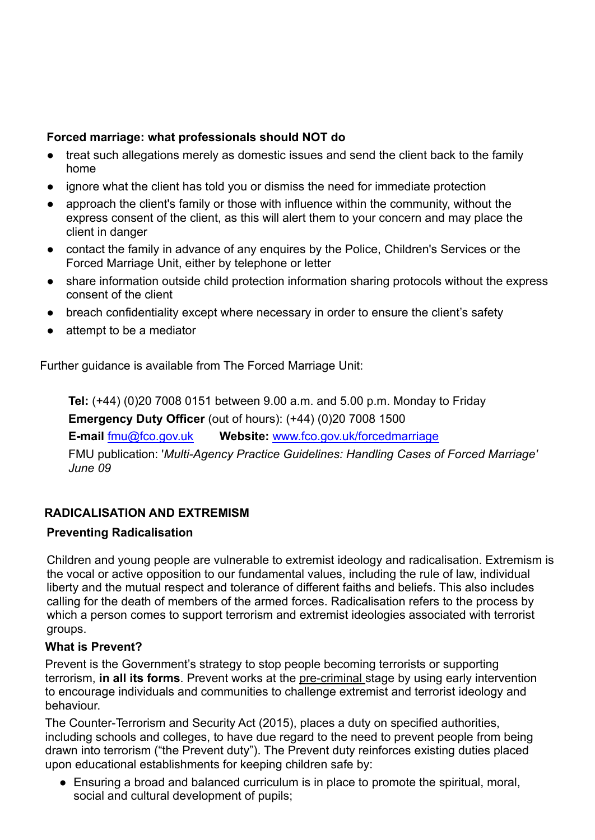## **Forced marriage: what professionals should NOT do**

- treat such allegations merely as domestic issues and send the client back to the family home
- ignore what the client has told you or dismiss the need for immediate protection
- approach the client's family or those with influence within the community, without the express consent of the client, as this will alert them to your concern and may place the client in danger
- contact the family in advance of any enquires by the Police, Children's Services or the Forced Marriage Unit, either by telephone or letter
- share information outside child protection information sharing protocols without the express consent of the client
- breach confidentiality except where necessary in order to ensure the client's safety
- attempt to be a mediator

Further guidance is available from The Forced Marriage Unit:

**Tel:** (+44) (0)20 7008 0151 between 9.00 a.m. and 5.00 p.m. Monday to Friday **Emergency Duty Officer** (out of hours): (+44) (0)20 7008 1500

**E-mail** [fmu@fco.gov.uk](mailto:fmu@fco.gov.uk) **Website:** [www.fco.gov.uk/forcedmarriage](http://www.fco.gov.uk/forcedmarriage) FMU publication: '*Multi-Agency Practice Guidelines: Handling Cases of Forced Marriage' June 09*

## **RADICALISATION AND EXTREMISM**

## **Preventing Radicalisation**

Children and young people are vulnerable to extremist ideology and radicalisation. Extremism is the vocal or active opposition to our fundamental values, including the rule of law, individual liberty and the mutual respect and tolerance of different faiths and beliefs. This also includes calling for the death of members of the armed forces. Radicalisation refers to the process by which a person comes to support terrorism and extremist ideologies associated with terrorist groups.

## **What is Prevent?**

Prevent is the Government's strategy to stop people becoming terrorists or supporting terrorism, **in all its forms**. Prevent works at the pre-criminal stage by using early intervention to encourage individuals and communities to challenge extremist and terrorist ideology and behaviour.

The Counter-Terrorism and Security Act (2015), places a duty on specified authorities, including schools and colleges, to have due regard to the need to prevent people from being drawn into terrorism ("the Prevent duty"). The Prevent duty reinforces existing duties placed upon educational establishments for keeping children safe by:

• Ensuring a broad and balanced curriculum is in place to promote the spiritual, moral, social and cultural development of pupils;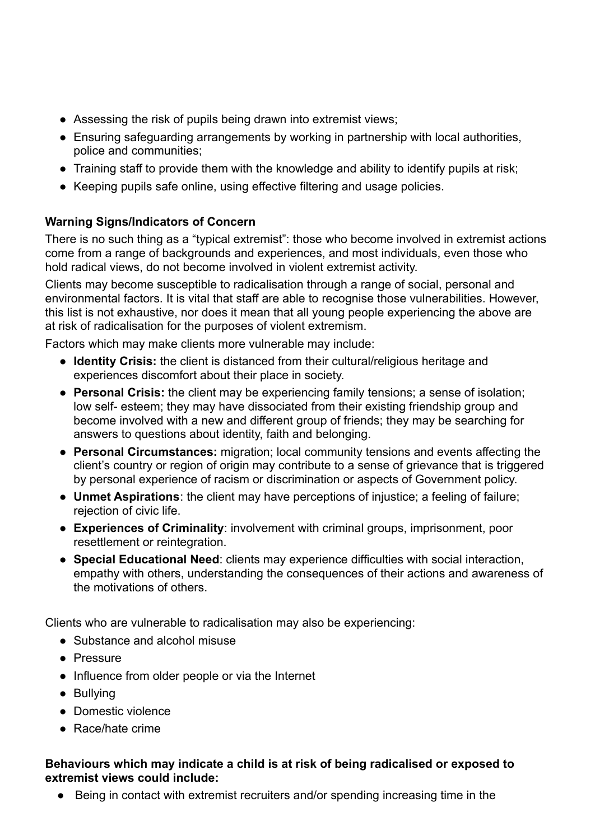- Assessing the risk of pupils being drawn into extremist views;
- Ensuring safeguarding arrangements by working in partnership with local authorities, police and communities;
- Training staff to provide them with the knowledge and ability to identify pupils at risk;
- Keeping pupils safe online, using effective filtering and usage policies.

## **Warning Signs/Indicators of Concern**

There is no such thing as a "typical extremist": those who become involved in extremist actions come from a range of backgrounds and experiences, and most individuals, even those who hold radical views, do not become involved in violent extremist activity.

Clients may become susceptible to radicalisation through a range of social, personal and environmental factors. It is vital that staff are able to recognise those vulnerabilities. However, this list is not exhaustive, nor does it mean that all young people experiencing the above are at risk of radicalisation for the purposes of violent extremism.

Factors which may make clients more vulnerable may include:

- **Identity Crisis:** the client is distanced from their cultural/religious heritage and experiences discomfort about their place in society.
- **Personal Crisis:** the client may be experiencing family tensions; a sense of isolation; low self- esteem; they may have dissociated from their existing friendship group and become involved with a new and different group of friends; they may be searching for answers to questions about identity, faith and belonging.
- **Personal Circumstances:** migration; local community tensions and events affecting the client's country or region of origin may contribute to a sense of grievance that is triggered by personal experience of racism or discrimination or aspects of Government policy.
- **Unmet Aspirations**: the client may have perceptions of injustice; a feeling of failure; rejection of civic life.
- **Experiences of Criminality**: involvement with criminal groups, imprisonment, poor resettlement or reintegration.
- **Special Educational Need**: clients may experience difficulties with social interaction, empathy with others, understanding the consequences of their actions and awareness of the motivations of others.

Clients who are vulnerable to radicalisation may also be experiencing:

- Substance and alcohol misuse
- Pressure
- Influence from older people or via the Internet
- Bullying
- Domestic violence
- Race/hate crime

#### **Behaviours which may indicate a child is at risk of being radicalised or exposed to extremist views could include:**

● Being in contact with extremist recruiters and/or spending increasing time in the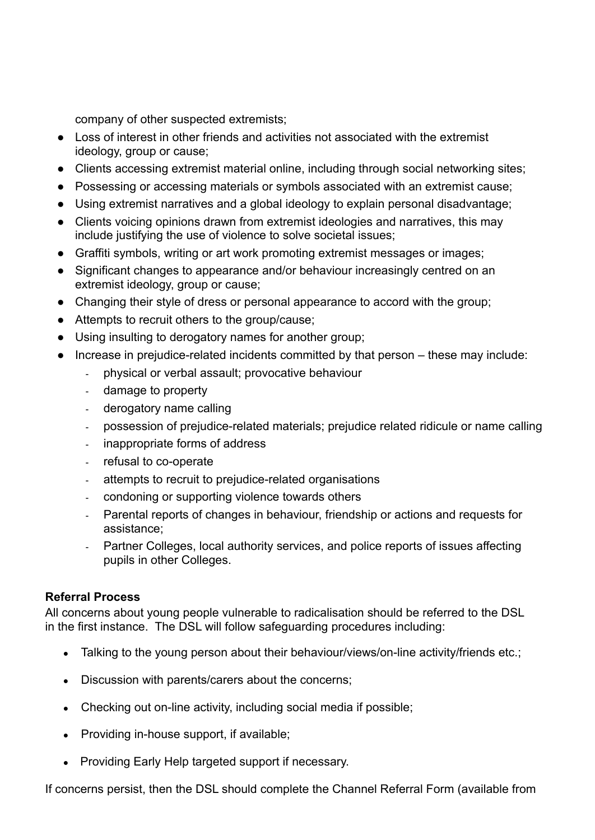company of other suspected extremists;

- Loss of interest in other friends and activities not associated with the extremist ideology, group or cause;
- Clients accessing extremist material online, including through social networking sites;
- Possessing or accessing materials or symbols associated with an extremist cause;
- Using extremist narratives and a global ideology to explain personal disadvantage;
- Clients voicing opinions drawn from extremist ideologies and narratives, this may include justifying the use of violence to solve societal issues;
- Graffiti symbols, writing or art work promoting extremist messages or images;
- Significant changes to appearance and/or behaviour increasingly centred on an extremist ideology, group or cause;
- Changing their style of dress or personal appearance to accord with the group;
- Attempts to recruit others to the group/cause;
- Using insulting to derogatory names for another group;
- Increase in prejudice-related incidents committed by that person these may include:
	- physical or verbal assault; provocative behaviour
	- damage to property
	- derogatory name calling
	- possession of prejudice-related materials; prejudice related ridicule or name calling
	- inappropriate forms of address
	- refusal to co-operate
	- attempts to recruit to prejudice-related organisations
	- condoning or supporting violence towards others
	- Parental reports of changes in behaviour, friendship or actions and requests for assistance;
	- Partner Colleges, local authority services, and police reports of issues affecting pupils in other Colleges.

## **Referral Process**

All concerns about young people vulnerable to radicalisation should be referred to the DSL in the first instance. The DSL will follow safeguarding procedures including:

- Talking to the young person about their behaviour/views/on-line activity/friends etc.;
- Discussion with parents/carers about the concerns:
- Checking out on-line activity, including social media if possible;
- Providing in-house support, if available;
- Providing Early Help targeted support if necessary.

If concerns persist, then the DSL should complete the Channel Referral Form (available from